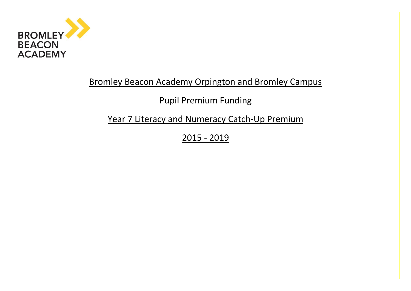

## Bromley Beacon Academy Orpington and Bromley Campus

# Pupil Premium Funding

Year 7 Literacy and Numeracy Catch-Up Premium

2015 - 2019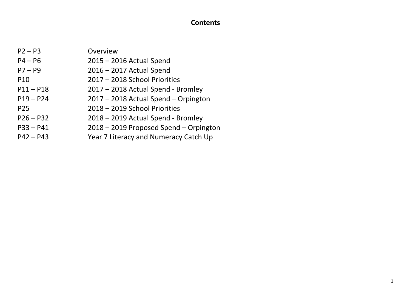## **Contents**

| $P2 - P3$       | Overview                               |
|-----------------|----------------------------------------|
| $P4 - P6$       | $2015 - 2016$ Actual Spend             |
| $P7 - P9$       | 2016 - 2017 Actual Spend               |
| P <sub>10</sub> | 2017 - 2018 School Priorities          |
| $P11 - P18$     | 2017 - 2018 Actual Spend - Bromley     |
| $P19 - P24$     | 2017 - 2018 Actual Spend - Orpington   |
| P <sub>25</sub> | 2018 - 2019 School Priorities          |
| $P26 - P32$     | 2018 - 2019 Actual Spend - Bromley     |
| $P33 - P41$     | 2018 - 2019 Proposed Spend - Orpington |
| $P42 - P43$     | Year 7 Literacy and Numeracy Catch Up  |
|                 |                                        |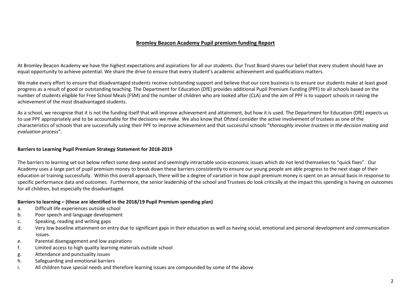## **Bromley Beacon Academy Pupil premium funding Report**

At Bromley Beacon Academy we have the highest expectations and aspirations for all our students. Our Trust Board shares our belief that every student should have an equal opportunity to achieve potential. We share the drive to ensure that every student's academic achievement and qualifications matters.

We make every effort to ensure that disadvantaged students receive outstanding support and believe that our core business is to ensure our students make at least good progress as a result of good or outstanding teaching. The Department for Education (DfE) provides additional Pupil Premium Funding (PPF) to all schools based on the number of students eligible for Free School Meals (FSM) and the number of children who are looked after (CLA) and the aim of PPF is to support schools in raising the achievement of the most disadvantaged students.

As a school, we recognise that it is not the funding itself that will improve achievement and attainment, but how it is used. The Department for Education (DfE) expects us to use PPF appropriately and to be accountable for the decisions we make. We also know that Ofsted consider the active involvement of trustees as one of the characteristics of schools that are successfully using their PPF to improve achievement and that successful schools "t*horoughly involve trustees in the decision making and evaluation process".*

## **Barriers to Learning Pupil Premium Strategy Statement for 2018-2019**

The barriers to learning set out below reflect some deep seated and seemingly intractable socio-economic issues which do not lend themselves to "quick fixes". Our Academy uses a large part of pupil premium money to break down these barriers consistently to ensure our young people are able progress to the next stage of their education or training successfully. Within this overall approach, there will be a degree of variation in how pupil premium money is spent on an annual basis in response to specific performance data and outcomes. Furthermore, the senior leadership of the school and Trustees do look critically at the impact this spending is having on outcomes for all children, but especially the disadvantaged.

## **Barriers to learning – (these are identified in the 2018/19 Pupil Premium spending plan)**

- a. Difficult life experiences outside school
- b. Poor speech and language development
- c. Speaking, reading and writing gaps
- d. Very low baseline attainment on entry due to significant gaps in their education as well as having social, emotional and personal development and communication issues.
- e. Parental disengagement and low aspirations
- f. Limited access to high quality learning materials outside school
- g. Attendance and punctuality issues
- h. Safeguarding and emotional barriers
- i. All children have special needs and therefore learning issues are compounded by some of the above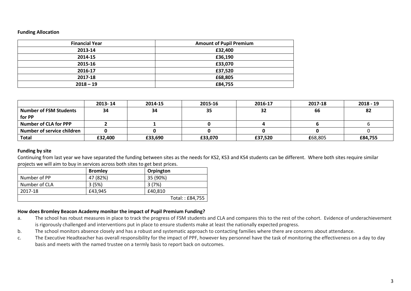#### **Funding Allocation**

| <b>Financial Year</b> | <b>Amount of Pupil Premium</b> |
|-----------------------|--------------------------------|
| 2013-14               | £32,400                        |
| 2014-15               | £36,190                        |
| 2015-16               | £33,070                        |
| 2016-17               | £37,520                        |
| 2017-18               | £68,805                        |
| $2018 - 19$           | £84,755                        |

|                               | 2013-14 | 2014-15 | 2015-16 | 2016-17 | 2017-18 | $2018 - 19$ |
|-------------------------------|---------|---------|---------|---------|---------|-------------|
| <b>Number of FSM Students</b> | 34      | 34      | 35      | 32      | 66      | 82          |
| for PP                        |         |         |         |         |         |             |
| <b>Number of CLA for PPP</b>  |         |         |         |         |         |             |
| Number of service children    |         |         |         |         |         |             |
| Total                         | £32,400 | £33,690 | £33,070 | £37,520 | £68,805 | £84,755     |

## **Funding by site**

Continuing from last year we have separated the funding between sites as the needs for KS2, KS3 and KS4 students can be different. Where both sites require similar projects we will aim to buy in services across both sites to get best prices.

|               | <b>Bromley</b> | Orpington       |
|---------------|----------------|-----------------|
| Number of PP  | 47 (82%)       | 35 (90%)        |
| Number of CLA | 3 (5%)         | 3(7%)           |
| 2017-18       | £43.945        | £40.810         |
|               |                | Total:: £84,755 |

## **How does Bromley Beacon Academy monitor the impact of Pupil Premium Funding?**

- a. The school has robust measures in place to track the progress of FSM students and CLA and compares this to the rest of the cohort. Evidence of underachievement is rigorously challenged and interventions put in place to ensure students make at least the nationally expected progress.
- b. The school monitors absence closely and has a robust and systematic approach to contacting families where there are concerns about attendance.
- c. The Executive Headteacher has overall responsibility for the impact of PPF, however key personnel have the task of monitoring the effectiveness on a day to day basis and meets with the named trustee on a termly basis to report back on outcomes.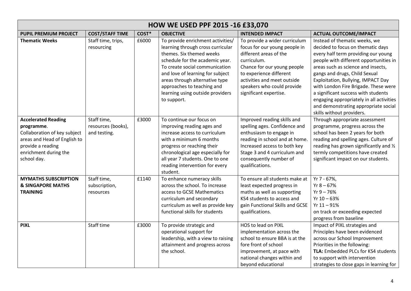| <b>HOW WE USED PPF 2015 -16 £33,070</b>                                                                                                                               |                                                   |       |                                                                                                                                                                                                                                                                                                                                |                                                                                                                                                                                                                                                          |                                                                                                                                                                                                                                                                                                                                                                                                                                                                  |  |
|-----------------------------------------------------------------------------------------------------------------------------------------------------------------------|---------------------------------------------------|-------|--------------------------------------------------------------------------------------------------------------------------------------------------------------------------------------------------------------------------------------------------------------------------------------------------------------------------------|----------------------------------------------------------------------------------------------------------------------------------------------------------------------------------------------------------------------------------------------------------|------------------------------------------------------------------------------------------------------------------------------------------------------------------------------------------------------------------------------------------------------------------------------------------------------------------------------------------------------------------------------------------------------------------------------------------------------------------|--|
| <b>PUPIL PREMIUM PROJECT</b>                                                                                                                                          | <b>COST/STAFF TIME</b>                            | COST* | <b>OBJECTIVE</b>                                                                                                                                                                                                                                                                                                               | <b>INTENDED IMPACT</b>                                                                                                                                                                                                                                   | <b>ACTUAL OUTCOME/IMPACT</b>                                                                                                                                                                                                                                                                                                                                                                                                                                     |  |
| <b>Thematic Weeks</b>                                                                                                                                                 | Staff time, trips,<br>resourcing                  | £6000 | To provide enrichment activities/<br>learning through cross curricular<br>themes. Six themed weeks<br>schedule for the academic year.<br>To create social communication<br>and love of learning for subject<br>areas through alternative type<br>approaches to teaching and<br>learning using outside providers<br>to support. | To provide a wider curriculum<br>focus for our young people in<br>different areas of the<br>curriculum.<br>Chance for our young people<br>to experience different<br>activities and meet outside<br>speakers who could provide<br>significant expertise. | Instead of thematic weeks, we<br>decided to focus on thematic days<br>every half term providing our young<br>people with different opportunities in<br>areas such as science and insects,<br>gangs and drugs, Child Sexual<br>Exploitation, Bullying, IMPACT Day<br>with London Fire Brigade. These were<br>a significant success with students<br>engaging appropriately in all activities<br>and demonstrating appropriate social<br>skills without providers. |  |
| <b>Accelerated Reading</b><br>programme.<br>Collaboration of key subject<br>areas and Head of English to<br>provide a reading<br>enrichment during the<br>school day. | Staff time,<br>resources (books),<br>and testing. | £3000 | To continue our focus on<br>improving reading ages and<br>increase access to curriculum<br>with a minimum 6 months<br>progress or reaching their<br>chronological age especially for<br>all year 7 students. One to one<br>reading intervention for every<br>student.                                                          | Improved reading skills and<br>spelling ages. Confidence and<br>enthusiasm to engage in<br>reading in school and at home.<br>Increased access to both key<br>Stage 3 and 4 curriculum and<br>consequently number of<br>qualifications.                   | Through appropriate assessment<br>programme, progress across the<br>school has been 2 years for both<br>reading and spelling ages. Culture of<br>reading has grown significantly and 1/2<br>termly competitions have created<br>significant impact on our students.                                                                                                                                                                                              |  |
| <b>MYMATHS SUBSCRIPTION</b><br><b>&amp; SINGAPORE MATHS</b><br><b>TRAINING</b>                                                                                        | Staff time,<br>subscription,<br>resources         | £1140 | To enhance numeracy skills<br>across the school. To increase<br>access to GCSE Mathematics<br>curriculum and secondary<br>curriculum as well as provide key<br>functional skills for students                                                                                                                                  | To ensure all students make at<br>least expected progress in<br>maths as well as supporting<br>KS4 students to access and<br>gain Functional Skills and GCSE<br>qualifications.                                                                          | Yr 7 - 67%,<br>$Yr 8 - 67%$<br>$Yr 9 - 76%$<br>$Yr 10 - 63%$<br>$Yr 11 - 91%$<br>on track or exceeding expected<br>progress from baseline                                                                                                                                                                                                                                                                                                                        |  |
| <b>PIXL</b>                                                                                                                                                           | Staff time                                        | £3000 | To provide strategic and<br>operational support for<br>leadership, with a view to raising<br>attainment and progress across<br>the school.                                                                                                                                                                                     | HOS to lead on PIXL<br>implementation across the<br>school to ensure BBA is at the<br>fore front of school<br>improvement, at pace with<br>national changes within and<br>beyond educational                                                             | Impact of PIXL strategies and<br>Principles have been evidenced<br>across our School Improvement<br>Priorities in the following:<br>TLA: Embedded PLCs for KS4 students<br>to support with intervention<br>strategies to close gaps in learning for                                                                                                                                                                                                              |  |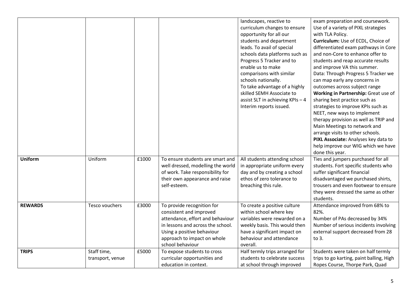|                |                                 |       |                                                                                                                                                                                                                 | landscapes, reactive to<br>curriculum changes to ensure<br>opportunity for all our<br>students and department<br>leads. To avail of special<br>schools data platforms such as<br>Progress 5 Tracker and to<br>enable us to make<br>comparisons with similar<br>schools nationally.<br>To take advantage of a highly<br>skilled SEMH Associate to<br>assist SLT in achieving KPIs - 4<br>Interim reports issued. | exam preparation and coursework.<br>Use of a variety of PIXL strategies<br>with TLA Policy.<br>Curriculum: Use of ECDL, Choice of<br>differentiated exam pathways in Core<br>and non-Core to enhance offer to<br>students and reap accurate results<br>and improve VA this summer.<br>Data: Through Progress 5 Tracker we<br>can map early any concerns in<br>outcomes across subject range<br>Working in Partnership: Great use of<br>sharing best practice such as<br>strategies to improve KPIs such as<br>NEET, new ways to implement<br>therapy provision as well as TRIP and<br>Main Meetings to network and<br>arrange visits to other schools.<br>PIXL Associate: Analyses key data to<br>help improve our WIG which we have<br>done this year. |
|----------------|---------------------------------|-------|-----------------------------------------------------------------------------------------------------------------------------------------------------------------------------------------------------------------|-----------------------------------------------------------------------------------------------------------------------------------------------------------------------------------------------------------------------------------------------------------------------------------------------------------------------------------------------------------------------------------------------------------------|---------------------------------------------------------------------------------------------------------------------------------------------------------------------------------------------------------------------------------------------------------------------------------------------------------------------------------------------------------------------------------------------------------------------------------------------------------------------------------------------------------------------------------------------------------------------------------------------------------------------------------------------------------------------------------------------------------------------------------------------------------|
| <b>Uniform</b> | Uniform                         | £1000 | To ensure students are smart and<br>well dressed, modelling the world<br>of work. Take responsibility for<br>their own appearance and raise<br>self-esteem.                                                     | All students attending school<br>in appropriate uniform every<br>day and by creating a school<br>ethos of zero tolerance to<br>breaching this rule.                                                                                                                                                                                                                                                             | Ties and jumpers purchased for all<br>students. Fort specific students who<br>suffer significant financial<br>disadvantaged we purchased shirts,<br>trousers and even footwear to ensure<br>they were dressed the same as other<br>students.                                                                                                                                                                                                                                                                                                                                                                                                                                                                                                            |
| <b>REWARDS</b> | Tesco vouchers                  | £3000 | To provide recognition for<br>consistent and improved<br>attendance, effort and behaviour<br>in lessons and across the school.<br>Using a positive behaviour<br>approach to impact on whole<br>school behaviour | To create a positive culture<br>within school where key<br>variables were rewarded on a<br>weekly basis. This would then<br>have a significant impact on<br>behaviour and attendance<br>overall.                                                                                                                                                                                                                | Attendance improved from 68% to<br>82%.<br>Number of PAs decreased by 34%<br>Number of serious incidents involving<br>external support decreased from 28<br>to 3.                                                                                                                                                                                                                                                                                                                                                                                                                                                                                                                                                                                       |
| <b>TRIPS</b>   | Staff time,<br>transport, venue | £5000 | To expose students to cross<br>curricular opportunities and<br>education in context.                                                                                                                            | Half termly trips arranged for<br>students to celebrate success<br>at school through improved                                                                                                                                                                                                                                                                                                                   | Students were taken on half termly<br>trips to go karting, paint balling, High<br>Ropes Course, Thorpe Park, Quad                                                                                                                                                                                                                                                                                                                                                                                                                                                                                                                                                                                                                                       |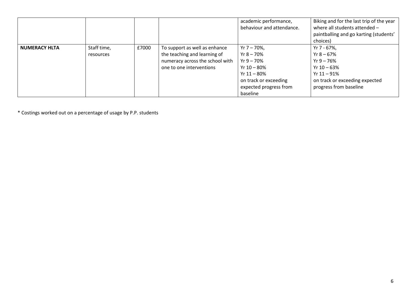|                      |                          |       |                                                                                                                              | academic performance,<br>behaviour and attendance.                                                                                              | Biking and for the last trip of the year<br>where all students attended -<br>paintballing and go karting (students'<br>choices)            |
|----------------------|--------------------------|-------|------------------------------------------------------------------------------------------------------------------------------|-------------------------------------------------------------------------------------------------------------------------------------------------|--------------------------------------------------------------------------------------------------------------------------------------------|
| <b>NUMERACY HLTA</b> | Staff time,<br>resources | £7000 | To support as well as enhance<br>the teaching and learning of<br>numeracy across the school with<br>one to one interventions | $Yr 7 - 70\%$<br>Yr 8 – 70%<br>Yr $9 - 70\%$<br>Yr $10 - 80\%$<br>Yr $11 - 80\%$<br>on track or exceeding<br>expected progress from<br>baseline | Yr 7 - 67%,<br>Yr $8 - 67\%$<br>$Yr9 - 76%$<br>Yr $10 - 63%$<br>Yr $11 - 91\%$<br>on track or exceeding expected<br>progress from baseline |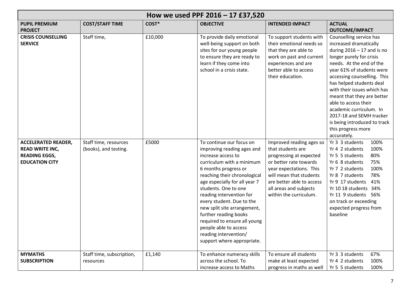|                                                                                                       |                                                |         | How we used PPF 2016 - 17 £37,520                                                                                                                                                                                                                                                                                                                                                                                                                           |                                                                                                                                                                                                                                           |                                                                                                                                                                                                                                                                                                                                                                                                                                                    |
|-------------------------------------------------------------------------------------------------------|------------------------------------------------|---------|-------------------------------------------------------------------------------------------------------------------------------------------------------------------------------------------------------------------------------------------------------------------------------------------------------------------------------------------------------------------------------------------------------------------------------------------------------------|-------------------------------------------------------------------------------------------------------------------------------------------------------------------------------------------------------------------------------------------|----------------------------------------------------------------------------------------------------------------------------------------------------------------------------------------------------------------------------------------------------------------------------------------------------------------------------------------------------------------------------------------------------------------------------------------------------|
| <b>PUPIL PREMIUM</b><br><b>PROJECT</b>                                                                | <b>COST/STAFF TIME</b>                         | COST*   | <b>OBJECTIVE</b>                                                                                                                                                                                                                                                                                                                                                                                                                                            | <b>INTENDED IMPACT</b>                                                                                                                                                                                                                    | <b>ACTUAL</b><br><b>OUTCOME/IMPACT</b>                                                                                                                                                                                                                                                                                                                                                                                                             |
| <b>CRISIS COUNSELLING</b><br><b>SERVICE</b>                                                           | Staff time,                                    | £10,000 | To provide daily emotional<br>well-being support on both<br>sites for our young people<br>to ensure they are ready to<br>learn if they come into<br>school in a crisis state.                                                                                                                                                                                                                                                                               | To support students with<br>their emotional needs so<br>that they are able to<br>work on past and current<br>experiences and are<br>better able to access<br>their education.                                                             | Counselling service has<br>increased dramatically<br>during $2016 - 17$ and is no<br>longer purely for crisis<br>needs. At the end of the<br>year 61% of students were<br>accessing counselling. This<br>has helped students deal<br>with their issues which has<br>meant that they are better<br>able to access their<br>academic curriculum. In<br>2017-18 and SEMH tracker<br>is being introduced to track<br>this progress more<br>accurately. |
| <b>ACCELERATED READER,</b><br><b>READ WRITE INC,</b><br><b>READING EGGS,</b><br><b>EDUCATION CITY</b> | Staff time, resources<br>(books), and testing. | £5000   | To continue our focus on<br>improving reading ages and<br>increase access to<br>curriculum with a minimum<br>6 months progress or<br>reaching their chronological<br>age especially for all year 7<br>students. One to one<br>reading intervention for<br>every student. Due to the<br>new split site arrangement,<br>further reading books<br>required to ensure all young<br>people able to access<br>reading intervention/<br>support where appropriate. | Improved reading ages so<br>that students are<br>progressing at expected<br>or better rate towards<br>year expectations. This<br>will mean that students<br>are better able to access<br>all areas and subjects<br>within the curriculum. | Yr 3 3 students<br>100%<br>Yr 4 2 students<br>100%<br>80%<br>Yr 5 5 students<br>Yr 6 8 students<br>75%<br>100%<br>Yr 7 2 students<br>Yr 8 7 students<br>78%<br>Yr 9 17 students<br>41%<br>Yr 10 18 students 34%<br>Yr 11 9 students 56%<br>on track or exceeding<br>expected progress from<br>baseline                                                                                                                                             |
| <b>MYMATHS</b><br><b>SUBSCRIPTION</b>                                                                 | Staff time, subscription,<br>resources         | £1,140  | To enhance numeracy skills<br>across the school. To<br>increase access to Maths                                                                                                                                                                                                                                                                                                                                                                             | To ensure all students<br>make at least expected<br>progress in maths as well                                                                                                                                                             | 67%<br>Yr 3 3 students<br>100%<br>Yr 4 2 students<br>Yr 5 5 students<br>100%                                                                                                                                                                                                                                                                                                                                                                       |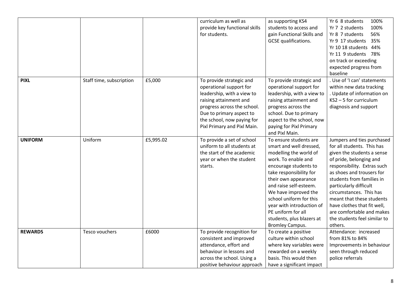|                |                          |           | curriculum as well as<br>provide key functional skills<br>for students.                                                                                                                                                             | as supporting KS4<br>students to access and<br>gain Functional Skills and<br>GCSE qualifications.                                                                                                                                                                                                                                                                     | 100%<br>Yr 6 8 students<br>100%<br>Yr 7 2 students<br>Yr 8 7 students<br>56%<br>35%<br>Yr 9 17 students<br>Yr 10 18 students 44%<br>Yr 11 9 students 78%<br>on track or exceeding<br>expected progress from<br>baseline                                                                                                                                                                             |
|----------------|--------------------------|-----------|-------------------------------------------------------------------------------------------------------------------------------------------------------------------------------------------------------------------------------------|-----------------------------------------------------------------------------------------------------------------------------------------------------------------------------------------------------------------------------------------------------------------------------------------------------------------------------------------------------------------------|-----------------------------------------------------------------------------------------------------------------------------------------------------------------------------------------------------------------------------------------------------------------------------------------------------------------------------------------------------------------------------------------------------|
| <b>PIXL</b>    | Staff time, subscription | £5,000    | To provide strategic and<br>operational support for<br>leadership, with a view to<br>raising attainment and<br>progress across the school.<br>Due to primary aspect to<br>the school, now paying for<br>Pixl Primary and Pixl Main. | To provide strategic and<br>operational support for<br>leadership, with a view to<br>raising attainment and<br>progress across the<br>school. Due to primary<br>aspect to the school, now<br>paying for Pixl Primary<br>and Pixl Main.                                                                                                                                | . Use of 'I can' statements<br>within new data tracking<br>. Update of information on<br>KS2-5 for curriculum<br>diagnosis and support                                                                                                                                                                                                                                                              |
| <b>UNIFORM</b> | Uniform                  | £5,995.02 | To provide a set of school<br>uniform to all students at<br>the start of the academic<br>year or when the student<br>starts.                                                                                                        | To ensure students are<br>smart and well dressed,<br>modelling the world of<br>work. To enable and<br>encourage students to<br>take responsibility for<br>their own appearance<br>and raise self-esteem.<br>We have improved the<br>school uniform for this<br>year with introduction of<br>PE uniform for all<br>students, plus blazers at<br><b>Bromley Campus.</b> | Jumpers and ties purchased<br>for all students. This has<br>given the students a sense<br>of pride, belonging and<br>responsibility. Extras such<br>as shoes and trousers for<br>students from families in<br>particularly difficult<br>circumstances. This has<br>meant that these students<br>have clothes that fit well,<br>are comfortable and makes<br>the students feel similar to<br>others. |
| <b>REWARDS</b> | Tesco vouchers           | £6000     | To provide recognition for<br>consistent and improved<br>attendance, effort and<br>behaviour in lessons and<br>across the school. Using a<br>positive behaviour approach                                                            | To create a positive<br>culture within school<br>where key variables were<br>rewarded on a weekly<br>basis. This would then<br>have a significant impact                                                                                                                                                                                                              | Attendance: increased<br>from 81% to 84%<br>Improvements in behaviour<br>seen through reduced<br>police referrals                                                                                                                                                                                                                                                                                   |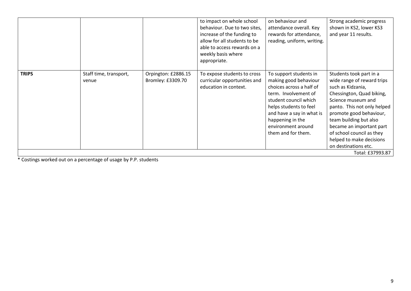|              |                                 |                                          | to impact on whole school<br>behaviour. Due to two sites,<br>increase of the funding to<br>allow for all students to be<br>able to access rewards on a<br>weekly basis where<br>appropriate. | on behaviour and<br>attendance overall. Key<br>rewards for attendance,<br>reading, uniform, writing.                                                                                                                                                | Strong academic progress<br>shown in KS2, lower KS3<br>and year 11 results.                                                                                                                                                                                                                                                    |
|--------------|---------------------------------|------------------------------------------|----------------------------------------------------------------------------------------------------------------------------------------------------------------------------------------------|-----------------------------------------------------------------------------------------------------------------------------------------------------------------------------------------------------------------------------------------------------|--------------------------------------------------------------------------------------------------------------------------------------------------------------------------------------------------------------------------------------------------------------------------------------------------------------------------------|
| <b>TRIPS</b> | Staff time, transport,<br>venue | Orpington: £2886.15<br>Bromley: £3309.70 | To expose students to cross<br>curricular opportunities and<br>education in context.                                                                                                         | To support students in<br>making good behaviour<br>choices across a half of<br>term. Involvement of<br>student council which<br>helps students to feel<br>and have a say in what is<br>happening in the<br>environment around<br>them and for them. | Students took part in a<br>wide range of reward trips<br>such as Kidzania,<br>Chessington, Quad biking,<br>Science museum and<br>panto. This not only helped<br>promote good behaviour,<br>team building but also<br>became an important part<br>of school council as they<br>helped to make decisions<br>on destinations etc. |
|              |                                 |                                          |                                                                                                                                                                                              |                                                                                                                                                                                                                                                     | Total: £37993.87                                                                                                                                                                                                                                                                                                               |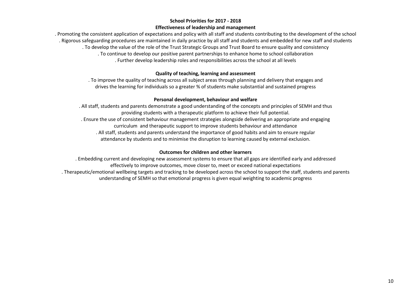## **School Priorities for 2017 - 2018 Effectiveness of leadership and management**

. Promoting the consistent application of expectations and policy with all staff and students contributing to the development of the school . Rigorous safeguarding procedures are maintained in daily practice by all staff and students and embedded for new staff and students . To develop the value of the role of the Trust Strategic Groups and Trust Board to ensure quality and consistency . To continue to develop our positive parent partnerships to enhance home to school collaboration . Further develop leadership roles and responsibilities across the school at all levels

## **Quality of teaching, learning and assessment**

. To improve the quality of teaching across all subject areas through planning and delivery that engages and drives the learning for individuals so a greater % of students make substantial and sustained progress

## **Personal development, behaviour and welfare**

. All staff, students and parents demonstrate a good understanding of the concepts and principles of SEMH and thus providing students with a therapeutic platform to achieve their full potential. . Ensure the use of consistent behaviour management strategies alongside delivering an appropriate and engaging curriculum and therapeutic support to improve students behaviour and attendance . All staff, students and parents understand the importance of good habits and aim to ensure regular attendance by students and to minimise the disruption to learning caused by external exclusion.

## **Outcomes for children and other learners**

. Embedding current and developing new assessment systems to ensure that all gaps are identified early and addressed effectively to improve outcomes, move closer to, meet or exceed national expectations . Therapeutic/emotional wellbeing targets and tracking to be developed across the school to support the staff, students and parents understanding of SEMH so that emotional progress is given equal weighting to academic progress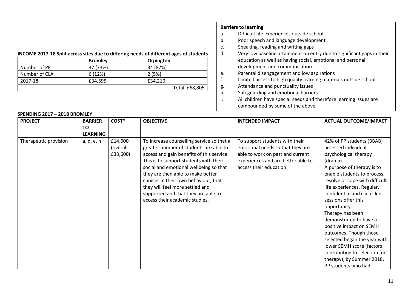## **INCOME 2017-18 Split across sites due to differing needs of different ages of students**

|               | <b>Bromley</b> | Orpington      |
|---------------|----------------|----------------|
| Number of PP  | 37 (73%)       | 34 (87%)       |
| Number of CLA | 6(12%)         | 2(5%)          |
| 2017-18       | £34,595        | £34.210        |
|               |                | Total: £68,805 |

## **Barriers to learning**

- a. Difficult life experiences outside school
- b. Poor speech and language development
- c. Speaking, reading and writing gaps<br>d. Very low baseline attainment on en
- Very low baseline attainment on entry due to significant gaps in their education as well as having social, emotional and personal development and communication.
- e. Parental disengagement and low aspirations<br>f. limited access to high quality learning mater
- Limited access to high quality learning materials outside school
- g. Attendance and punctuality issues
- h. Safeguarding and emotional barriers
- i. All children have special needs and therefore learning issues are compounded by some of the above.

| <b>PROJECT</b>        | <b>BARRIER</b>  | COST*                           | <b>OBJECTIVE</b>                                                                                                                                                                                                                                                                                                                                                                                              | <b>INTENDED IMPACT</b>                                                                                                                                                  | <b>ACTUAL OUTCOME/IMPACT</b>                                                                                                                                                                                                                                                                                                                                                                                                                                                                                                                  |
|-----------------------|-----------------|---------------------------------|---------------------------------------------------------------------------------------------------------------------------------------------------------------------------------------------------------------------------------------------------------------------------------------------------------------------------------------------------------------------------------------------------------------|-------------------------------------------------------------------------------------------------------------------------------------------------------------------------|-----------------------------------------------------------------------------------------------------------------------------------------------------------------------------------------------------------------------------------------------------------------------------------------------------------------------------------------------------------------------------------------------------------------------------------------------------------------------------------------------------------------------------------------------|
|                       | <b>TO</b>       |                                 |                                                                                                                                                                                                                                                                                                                                                                                                               |                                                                                                                                                                         |                                                                                                                                                                                                                                                                                                                                                                                                                                                                                                                                               |
|                       | <b>LEARNING</b> |                                 |                                                                                                                                                                                                                                                                                                                                                                                                               |                                                                                                                                                                         |                                                                                                                                                                                                                                                                                                                                                                                                                                                                                                                                               |
| Therapeutic provision | a, d, e, h      | £14,000<br>(overall<br>£33,600) | To increase counselling service so that a<br>greater number of students are able to<br>access and gain benefits of this service.<br>This is to support students with their<br>social and emotional wellbeing so that<br>they are then able to make better<br>choices in their own behaviour, that<br>they will feel more settled and<br>supported and that they are able to<br>access their academic studies. | To support students with their<br>emotional needs so that they are<br>able to work on past and current<br>experiences and are better able to<br>access their education. | 42% of PP students (BBAB)<br>accessed individual<br>psychological therapy<br>(drama).<br>A purpose of therapy is to<br>enable students to process,<br>resolve or cope with difficult<br>life experiences. Regular,<br>confidential and client-led<br>sessions offer this<br>opportunity.<br>Therapy has been<br>demonstrated to have a<br>positive impact on SEMH<br>outcomes. Though those<br>selected began the year with<br>lower SEMH score (factors<br>contributing to selection for<br>therapy), by Summer 2018,<br>PP students who had |

#### **SPENDING 2017 – 2018 BROMLEY**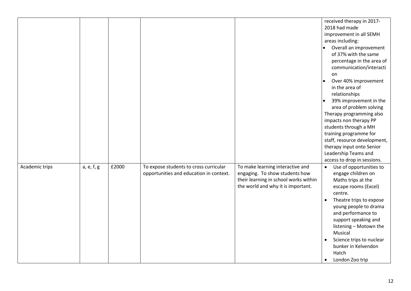|                |            |       |                                                                                   |                                                                                                                                                   | received therapy in 2017-<br>2018 had made<br>improvement in all SEMH<br>areas including:<br>Overall an improvement<br>$\bullet$<br>of 37% with the same<br>percentage in the area of<br>communication/interacti<br>on<br>Over 40% improvement<br>in the area of<br>relationships<br>39% improvement in the<br>area of problem solving<br>Therapy programming also<br>impacts non therapy PP<br>students through a MH<br>training programme for<br>staff, resource development,<br>therapy input onto Senior<br>Leadership Teams and<br>access to drop in sessions. |
|----------------|------------|-------|-----------------------------------------------------------------------------------|---------------------------------------------------------------------------------------------------------------------------------------------------|---------------------------------------------------------------------------------------------------------------------------------------------------------------------------------------------------------------------------------------------------------------------------------------------------------------------------------------------------------------------------------------------------------------------------------------------------------------------------------------------------------------------------------------------------------------------|
| Academic trips | a, e, f, g | £2000 | To expose students to cross curricular<br>opportunities and education in context. | To make learning interactive and<br>engaging. To show students how<br>their learning in school works within<br>the world and why it is important. | Use of opportunities to<br>$\bullet$<br>engage children on<br>Maths trips at the<br>escape rooms (Excel)<br>centre.<br>Theatre trips to expose<br>young people to drama<br>and performance to<br>support speaking and<br>listening - Motown the<br>Musical<br>Science trips to nuclear<br>bunker in Kelvendon<br>Hatch<br>London Zoo trip                                                                                                                                                                                                                           |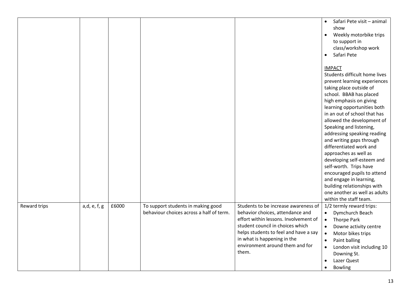|              |              |       |                                                                                |                                                                                                                                                                                                                                                                           | Safari Pete visit - animal<br>$\bullet$<br>show<br>Weekly motorbike trips<br>$\bullet$<br>to support in<br>class/workshop work<br>Safari Pete<br>$\bullet$                                                                                                                                                                                                                                                                                                                                                                                                                                                         |
|--------------|--------------|-------|--------------------------------------------------------------------------------|---------------------------------------------------------------------------------------------------------------------------------------------------------------------------------------------------------------------------------------------------------------------------|--------------------------------------------------------------------------------------------------------------------------------------------------------------------------------------------------------------------------------------------------------------------------------------------------------------------------------------------------------------------------------------------------------------------------------------------------------------------------------------------------------------------------------------------------------------------------------------------------------------------|
|              |              |       |                                                                                |                                                                                                                                                                                                                                                                           | <b>IMPACT</b><br>Students difficult home lives<br>prevent learning experiences<br>taking place outside of<br>school. BBAB has placed<br>high emphasis on giving<br>learning opportunities both<br>in an out of school that has<br>allowed the development of<br>Speaking and listening,<br>addressing speaking reading<br>and writing gaps through<br>differentiated work and<br>approaches as well as<br>developing self-esteem and<br>self-worth. Trips have<br>encouraged pupils to attend<br>and engage in learning,<br>building relationships with<br>one another as well as adults<br>within the staff team. |
| Reward trips | a,d, e, f, g | £6000 | To support students in making good<br>behaviour choices across a half of term. | Students to be increase awareness of<br>behavior choices, attendance and<br>effort within lessons. Involvement of<br>student council in choices which<br>helps students to feel and have a say<br>in what is happening in the<br>environment around them and for<br>them. | 1/2 termly reward trips:<br>Dymchurch Beach<br>$\bullet$<br><b>Thorpe Park</b><br>$\bullet$<br>Downe activity centre<br>$\bullet$<br>Motor bikes trips<br>$\bullet$<br>Paint balling<br>$\bullet$<br>London visit including 10<br>$\bullet$<br>Downing St.<br>Lazer Quest<br>$\bullet$<br><b>Bowling</b><br>$\bullet$                                                                                                                                                                                                                                                                                              |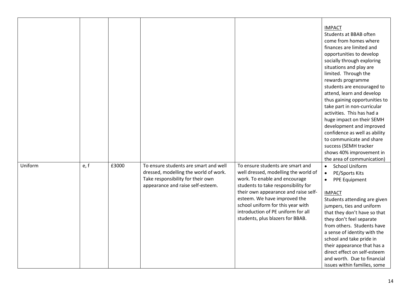|         |      |       |                                                                                                                                                          |                                                                                                                                                                                                                                                                                                                                         | <b>IMPACT</b><br>Students at BBAB often<br>come from homes where<br>finances are limited and<br>opportunities to develop<br>socially through exploring<br>situations and play are<br>limited. Through the<br>rewards programme<br>students are encouraged to<br>attend, learn and develop                                                                                                                                                                         |
|---------|------|-------|----------------------------------------------------------------------------------------------------------------------------------------------------------|-----------------------------------------------------------------------------------------------------------------------------------------------------------------------------------------------------------------------------------------------------------------------------------------------------------------------------------------|-------------------------------------------------------------------------------------------------------------------------------------------------------------------------------------------------------------------------------------------------------------------------------------------------------------------------------------------------------------------------------------------------------------------------------------------------------------------|
|         |      |       |                                                                                                                                                          |                                                                                                                                                                                                                                                                                                                                         | thus gaining opportunities to<br>take part in non-curricular<br>activities. This has had a<br>huge impact on their SEMH<br>development and improved<br>confidence as well as ability<br>to communicate and share<br>success (SEMH tracker<br>shows 40% improvement in<br>the area of communication)                                                                                                                                                               |
| Uniform | e, f | £3000 | To ensure students are smart and well<br>dressed, modelling the world of work.<br>Take responsibility for their own<br>appearance and raise self-esteem. | To ensure students are smart and<br>well dressed, modelling the world of<br>work. To enable and encourage<br>students to take responsibility for<br>their own appearance and raise self-<br>esteem. We have improved the<br>school uniform for this year with<br>introduction of PE uniform for all<br>students, plus blazers for BBAB. | <b>School Uniform</b><br>$\bullet$<br>PE/Sports Kits<br>$\bullet$<br>PPE Equipment<br>$\bullet$<br><b>IMPACT</b><br>Students attending are given<br>jumpers, ties and uniform<br>that they don't have so that<br>they don't feel separate<br>from others. Students have<br>a sense of identity with the<br>school and take pride in<br>their appearance that has a<br>direct effect on self-esteem<br>and worth. Due to financial<br>issues within families, some |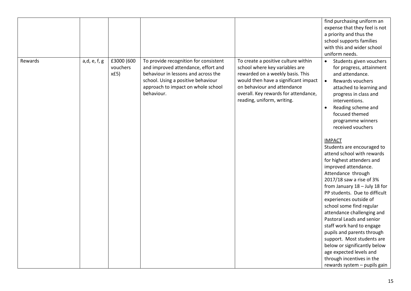|         |              |            |                                                  |                                      | find purchasing uniform an                               |
|---------|--------------|------------|--------------------------------------------------|--------------------------------------|----------------------------------------------------------|
|         |              |            |                                                  |                                      | expense that they feel is not                            |
|         |              |            |                                                  |                                      | a priority and thus the                                  |
|         |              |            |                                                  |                                      | school supports families                                 |
|         |              |            |                                                  |                                      | with this and wider school                               |
|         |              |            |                                                  |                                      | uniform needs.                                           |
| Rewards | a,d, e, f, g | £3000 (600 | To provide recognition for consistent            | To create a positive culture within  | Students given vouchers<br>$\bullet$                     |
|         |              | vouchers   | and improved attendance, effort and              | school where key variables are       | for progress, attainment                                 |
|         |              | xf5)       | behaviour in lessons and across the              | rewarded on a weekly basis. This     | and attendance.                                          |
|         |              |            | school. Using a positive behaviour               | would then have a significant impact | Rewards vouchers<br>$\bullet$                            |
|         |              |            |                                                  | on behaviour and attendance          |                                                          |
|         |              |            | approach to impact on whole school<br>behaviour. | overall. Key rewards for attendance, | attached to learning and                                 |
|         |              |            |                                                  |                                      | progress in class and                                    |
|         |              |            |                                                  | reading, uniform, writing.           | interventions.                                           |
|         |              |            |                                                  |                                      | Reading scheme and                                       |
|         |              |            |                                                  |                                      | focused themed                                           |
|         |              |            |                                                  |                                      | programme winners                                        |
|         |              |            |                                                  |                                      | received vouchers                                        |
|         |              |            |                                                  |                                      | <b>IMPACT</b>                                            |
|         |              |            |                                                  |                                      | Students are encouraged to                               |
|         |              |            |                                                  |                                      | attend school with rewards                               |
|         |              |            |                                                  |                                      | for highest attenders and                                |
|         |              |            |                                                  |                                      | improved attendance.                                     |
|         |              |            |                                                  |                                      | Attendance through                                       |
|         |              |            |                                                  |                                      | 2017/18 saw a rise of 3%                                 |
|         |              |            |                                                  |                                      | from January 18 - July 18 for                            |
|         |              |            |                                                  |                                      | PP students. Due to difficult                            |
|         |              |            |                                                  |                                      | experiences outside of                                   |
|         |              |            |                                                  |                                      | school some find regular                                 |
|         |              |            |                                                  |                                      | attendance challenging and                               |
|         |              |            |                                                  |                                      | Pastoral Leads and senior                                |
|         |              |            |                                                  |                                      | staff work hard to engage                                |
|         |              |            |                                                  |                                      |                                                          |
|         |              |            |                                                  |                                      | pupils and parents through<br>support. Most students are |
|         |              |            |                                                  |                                      | below or significantly below                             |
|         |              |            |                                                  |                                      | age expected levels and                                  |
|         |              |            |                                                  |                                      | through incentives in the                                |
|         |              |            |                                                  |                                      |                                                          |
|         |              |            |                                                  |                                      | rewards system - pupils gain                             |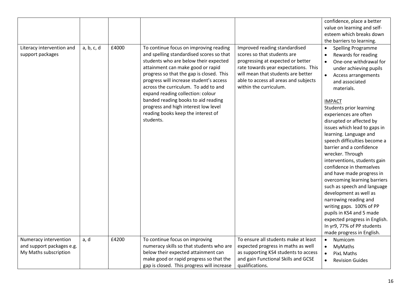|                                                                             |            |       |                                                                                                                                                                                                                                                                                                                                                                                                                                                                        |                                                                                                                                                                                                                                                    | confidence, place a better<br>value on learning and self-<br>esteem which breaks down<br>the barriers to learning.                                                                                                                                                                                                                                                                                                                                                                                                                                                                                                                                                                                                                                                                              |
|-----------------------------------------------------------------------------|------------|-------|------------------------------------------------------------------------------------------------------------------------------------------------------------------------------------------------------------------------------------------------------------------------------------------------------------------------------------------------------------------------------------------------------------------------------------------------------------------------|----------------------------------------------------------------------------------------------------------------------------------------------------------------------------------------------------------------------------------------------------|-------------------------------------------------------------------------------------------------------------------------------------------------------------------------------------------------------------------------------------------------------------------------------------------------------------------------------------------------------------------------------------------------------------------------------------------------------------------------------------------------------------------------------------------------------------------------------------------------------------------------------------------------------------------------------------------------------------------------------------------------------------------------------------------------|
| Literacy intervention and<br>support packages                               | a, b, c, d | £4000 | To continue focus on improving reading<br>and spelling standardised scores so that<br>students who are below their expected<br>attainment can make good or rapid<br>progress so that the gap is closed. This<br>progress will increase student's access<br>across the curriculum. To add to and<br>expand reading collection: colour<br>banded reading books to aid reading<br>progress and high interest low level<br>reading books keep the interest of<br>students. | Improved reading standardised<br>scores so that students are<br>progressing at expected or better<br>rate towards year expectations. This<br>will mean that students are better<br>able to access all areas and subjects<br>within the curriculum. | Spelling Programme<br>$\bullet$<br>Rewards for reading<br>One-one withdrawal for<br>under achieving pupils<br>Access arrangements<br>$\bullet$<br>and associated<br>materials.<br><b>IMPACT</b><br><b>Students prior learning</b><br>experiences are often<br>disrupted or affected by<br>issues which lead to gaps in<br>learning. Language and<br>speech difficulties become a<br>barrier and a confidence<br>wrecker. Through<br>interventions, students gain<br>confidence in themselves<br>and have made progress in<br>overcoming learning barriers<br>such as speech and language<br>development as well as<br>narrowing reading and<br>writing gaps. 100% of PP<br>pupils in KS4 and 5 made<br>expected progress in English.<br>In yr9, 77% of PP students<br>made progress in English. |
| Numeracy intervention<br>and support packages e.g.<br>My Maths subscription | a, d       | £4200 | To continue focus on improving<br>numeracy skills so that students who are<br>below their expected attainment can<br>make good or rapid progress so that the<br>gap is closed. This progress will increase                                                                                                                                                                                                                                                             | To ensure all students make at least<br>expected progress in maths as well<br>as supporting KS4 students to access<br>and gain Functional Skills and GCSE<br>qualifications.                                                                       | Numicom<br>$\bullet$<br>MyMaths<br>$\bullet$<br><b>PixL Maths</b><br>$\bullet$<br><b>Revision Guides</b><br>$\bullet$                                                                                                                                                                                                                                                                                                                                                                                                                                                                                                                                                                                                                                                                           |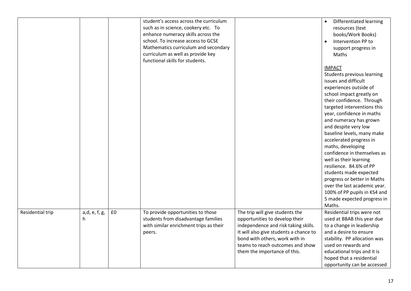|                  |               |    | student's access across the curriculum |                                        | Differentiated learning<br>$\bullet$               |
|------------------|---------------|----|----------------------------------------|----------------------------------------|----------------------------------------------------|
|                  |               |    | such as in science, cookery etc. To    |                                        | resources (text                                    |
|                  |               |    | enhance numeracy skills across the     |                                        | books/Work Books)                                  |
|                  |               |    | school. To increase access to GCSE     |                                        | Intervention PP to                                 |
|                  |               |    | Mathematics curriculum and secondary   |                                        | support progress in                                |
|                  |               |    | curriculum as well as provide key      |                                        | <b>Maths</b>                                       |
|                  |               |    | functional skills for students.        |                                        |                                                    |
|                  |               |    |                                        |                                        | <b>IMPACT</b>                                      |
|                  |               |    |                                        |                                        |                                                    |
|                  |               |    |                                        |                                        | Students previous learning<br>issues and difficult |
|                  |               |    |                                        |                                        |                                                    |
|                  |               |    |                                        |                                        | experiences outside of                             |
|                  |               |    |                                        |                                        | school impact greatly on                           |
|                  |               |    |                                        |                                        | their confidence. Through                          |
|                  |               |    |                                        |                                        | targeted interventions this                        |
|                  |               |    |                                        |                                        | year, confidence in maths                          |
|                  |               |    |                                        |                                        | and numeracy has grown                             |
|                  |               |    |                                        |                                        | and despite very low                               |
|                  |               |    |                                        |                                        | baseline levels, many make                         |
|                  |               |    |                                        |                                        | accelerated progress in                            |
|                  |               |    |                                        |                                        | maths, developing                                  |
|                  |               |    |                                        |                                        | confidence in themselves as                        |
|                  |               |    |                                        |                                        | well as their learning                             |
|                  |               |    |                                        |                                        | resilience. 84.6% of PP                            |
|                  |               |    |                                        |                                        | students made expected                             |
|                  |               |    |                                        |                                        | progress or better in Maths                        |
|                  |               |    |                                        |                                        | over the last academic year.                       |
|                  |               |    |                                        |                                        | 100% of PP pupils in KS4 and                       |
|                  |               |    |                                        |                                        | 5 made expected progress in                        |
|                  |               |    |                                        |                                        | Maths.                                             |
| Residential trip | a,d, e, f, g, | £0 | To provide opportunities to those      | The trip will give students the        | Residential trips were not                         |
|                  | h             |    | students from disadvantage families    | opportunities to develop their         | used at BBAB this year due                         |
|                  |               |    | with similar enrichment trips as their | independence and risk taking skills.   | to a change in leadership                          |
|                  |               |    | peers.                                 | It will also give students a chance to | and a desire to ensure                             |
|                  |               |    |                                        | bond with others, work with in         | stability. PP allocation was                       |
|                  |               |    |                                        | teams to reach outcomes and show       | used on rewards and                                |
|                  |               |    |                                        | them the importance of this.           | educational trips and it is                        |
|                  |               |    |                                        |                                        | hoped that a residential                           |
|                  |               |    |                                        |                                        | opportunity can be accessed                        |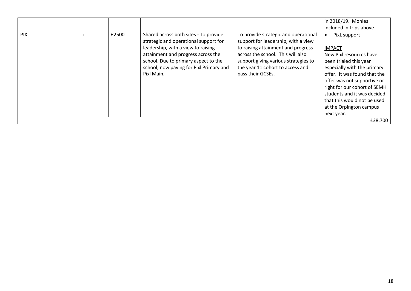|             |       |                                                                                                                                                                                                                                                             |                                                                                                                                                                                                                                                         | in 2018/19. Monies<br>included in trips above.                                                                                                                                                                                                                                                                          |
|-------------|-------|-------------------------------------------------------------------------------------------------------------------------------------------------------------------------------------------------------------------------------------------------------------|---------------------------------------------------------------------------------------------------------------------------------------------------------------------------------------------------------------------------------------------------------|-------------------------------------------------------------------------------------------------------------------------------------------------------------------------------------------------------------------------------------------------------------------------------------------------------------------------|
| <b>PIXL</b> | £2500 | Shared across both sites - To provide<br>strategic and operational support for<br>leadership, with a view to raising<br>attainment and progress across the<br>school. Due to primary aspect to the<br>school, now paying for Pixl Primary and<br>Pixl Main. | To provide strategic and operational<br>support for leadership, with a view<br>to raising attainment and progress<br>across the school. This will also<br>support giving various strategies to<br>the year 11 cohort to access and<br>pass their GCSEs. | PixL support<br><b>IMPACT</b><br>New Pixl resources have<br>been trialed this year<br>especially with the primary<br>offer. It was found that the<br>offer was not supportive or<br>right for our cohort of SEMH<br>students and it was decided<br>that this would not be used<br>at the Orpington campus<br>next year. |
|             |       |                                                                                                                                                                                                                                                             |                                                                                                                                                                                                                                                         | £38,700                                                                                                                                                                                                                                                                                                                 |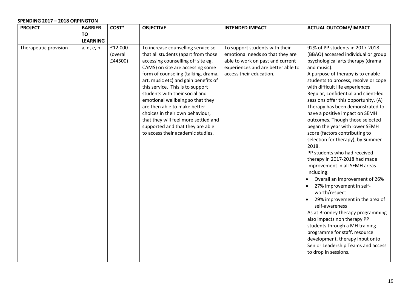## **SPENDING 2017 – 2018 ORPINGTON**

| <b>PROJECT</b>        | <b>BARRIER</b>  | COST*                          | <b>OBJECTIVE</b>                                                                                                                                                                                                                                                                                                                                                                                                                                                                                                                 | <b>INTENDED IMPACT</b>                                                                                                                                                  | <b>ACTUAL OUTCOME/IMPACT</b>                                                                                                                                                                                                                                                                                                                                                                                                                                                                                                                                                                                                                                                                                                                                                                                                                                                                                                                                                                                                                     |
|-----------------------|-----------------|--------------------------------|----------------------------------------------------------------------------------------------------------------------------------------------------------------------------------------------------------------------------------------------------------------------------------------------------------------------------------------------------------------------------------------------------------------------------------------------------------------------------------------------------------------------------------|-------------------------------------------------------------------------------------------------------------------------------------------------------------------------|--------------------------------------------------------------------------------------------------------------------------------------------------------------------------------------------------------------------------------------------------------------------------------------------------------------------------------------------------------------------------------------------------------------------------------------------------------------------------------------------------------------------------------------------------------------------------------------------------------------------------------------------------------------------------------------------------------------------------------------------------------------------------------------------------------------------------------------------------------------------------------------------------------------------------------------------------------------------------------------------------------------------------------------------------|
|                       | TO              |                                |                                                                                                                                                                                                                                                                                                                                                                                                                                                                                                                                  |                                                                                                                                                                         |                                                                                                                                                                                                                                                                                                                                                                                                                                                                                                                                                                                                                                                                                                                                                                                                                                                                                                                                                                                                                                                  |
|                       | <b>LEARNING</b> |                                |                                                                                                                                                                                                                                                                                                                                                                                                                                                                                                                                  |                                                                                                                                                                         |                                                                                                                                                                                                                                                                                                                                                                                                                                                                                                                                                                                                                                                                                                                                                                                                                                                                                                                                                                                                                                                  |
| Therapeutic provision | a, d, e, h      | £12,000<br>(overall<br>£44500) | To increase counselling service so<br>that all students (apart from those<br>accessing counselling off site eg.<br>CAMS) on site are accessing some<br>form of counseling (talking, drama,<br>art, music etc) and gain benefits of<br>this service. This is to support<br>students with their social and<br>emotional wellbeing so that they<br>are then able to make better<br>choices in their own behaviour,<br>that they will feel more settled and<br>supported and that they are able<br>to access their academic studies. | To support students with their<br>emotional needs so that they are<br>able to work on past and current<br>experiences and are better able to<br>access their education. | 92% of PP students in 2017-2018<br>(BBAO) accessed individual or group<br>psychological arts therapy (drama<br>and music).<br>A purpose of therapy is to enable<br>students to process, resolve or cope<br>with difficult life experiences.<br>Regular, confidential and client-led<br>sessions offer this opportunity. (A)<br>Therapy has been demonstrated to<br>have a positive impact on SEMH<br>outcomes. Though those selected<br>began the year with lower SEMH<br>score (factors contributing to<br>selection for therapy), by Summer<br>2018.<br>PP students who had received<br>therapy in 2017-2018 had made<br>improvement in all SEMH areas<br>including:<br>Overall an improvement of 26%<br>27% improvement in self-<br>worth/respect<br>29% improvement in the area of<br>self-awareness<br>As at Bromley therapy programming<br>also impacts non therapy PP<br>students through a MH training<br>programme for staff, resource<br>development, therapy input onto<br>Senior Leadership Teams and access<br>to drop in sessions. |
|                       |                 |                                |                                                                                                                                                                                                                                                                                                                                                                                                                                                                                                                                  |                                                                                                                                                                         |                                                                                                                                                                                                                                                                                                                                                                                                                                                                                                                                                                                                                                                                                                                                                                                                                                                                                                                                                                                                                                                  |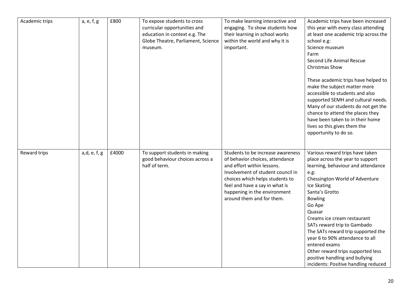| Academic trips | a, e, f, g   | £800  | To expose students to cross<br>curricular opportunities and<br>education in context e.g. The<br>Globe Theatre, Parliament, Science<br>museum. | To make learning interactive and<br>engaging. To show students how<br>their learning in school works<br>within the world and why it is<br>important.                                                                                                                      | Academic trips have been increased<br>this year with every class attending<br>at least one academic trip across the<br>school e.g:<br>Science museum<br>Farm<br>Second Life Animal Rescue<br><b>Christmas Show</b><br>These academic trips have helped to<br>make the subject matter more<br>accessible to students and also<br>supported SEMH and cultural needs.<br>Many of our students do not get the<br>chance to attend the places they<br>have been taken to in their home<br>lives so this gives them the<br>opportunity to do so. |
|----------------|--------------|-------|-----------------------------------------------------------------------------------------------------------------------------------------------|---------------------------------------------------------------------------------------------------------------------------------------------------------------------------------------------------------------------------------------------------------------------------|--------------------------------------------------------------------------------------------------------------------------------------------------------------------------------------------------------------------------------------------------------------------------------------------------------------------------------------------------------------------------------------------------------------------------------------------------------------------------------------------------------------------------------------------|
| Reward trips   | a,d, e, f, g | £4000 | To support students in making<br>good behaviour choices across a<br>half of term.                                                             | Students to be increase awareness<br>of behavior choices, attendance<br>and effort within lessons.<br>Involvement of student council in<br>choices which helps students to<br>feel and have a say in what is<br>happening in the environment<br>around them and for them. | Various reward trips have taken<br>place across the year to support<br>learning, behaviour and attendance<br>e.g.<br>Chessington World of Adventure<br>Ice Skating<br>Santa's Grotto<br><b>Bowling</b><br>Go Ape<br>Quasar<br>Creams ice cream restaurant<br>SATs reward trip to Gambado<br>The SATs reward trip supported the<br>year 6 to 90% attendance to all<br>entered exams<br>Other reward trips supported less<br>positive handling and bullying<br>incidents: Positive handling reduced                                          |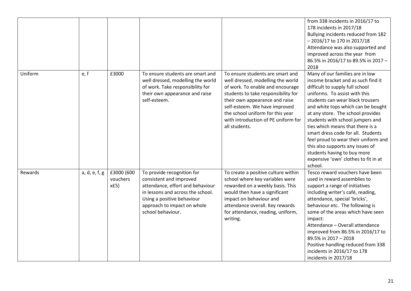|         |               |                                 |                                                                                                                                                                                                                  |                                                                                                                                                                                                                                                                                                                 | from 338 incidents in 2016/17 to<br>178 incidents in 2017/18<br>Bullying incidents reduced from 182<br>- 2016/17 to 170 in 2017/18<br>Attendance was also supported and<br>improved across the year from<br>86.5% in 2016/17 to 89.5% in 2017 -<br>2018                                                                                                                                                                                                                                                                              |
|---------|---------------|---------------------------------|------------------------------------------------------------------------------------------------------------------------------------------------------------------------------------------------------------------|-----------------------------------------------------------------------------------------------------------------------------------------------------------------------------------------------------------------------------------------------------------------------------------------------------------------|--------------------------------------------------------------------------------------------------------------------------------------------------------------------------------------------------------------------------------------------------------------------------------------------------------------------------------------------------------------------------------------------------------------------------------------------------------------------------------------------------------------------------------------|
| Uniform | e, f          | £3000                           | To ensure students are smart and<br>well dressed, modelling the world<br>of work. Take responsibility for<br>their own appearance and raise<br>self-esteem.                                                      | To ensure students are smart and<br>well dressed, modelling the world<br>of work. To enable and encourage<br>students to take responsibility for<br>their own appearance and raise<br>self-esteem. We have improved<br>the school uniform for this year<br>with introduction of PE uniform for<br>all students. | Many of our families are in low<br>income bracket and as such find it<br>difficult to supply full school<br>uniforms. To assist with this<br>students can wear black trousers<br>and white tops which can be bought<br>at any store. The school provides<br>students with school jumpers and<br>ties which means that there is a<br>smart dress code for all. Students<br>feel proud to wear their uniform and<br>this also supports any issues of<br>students having to buy more<br>expensive 'own' clothes to fit in at<br>school. |
| Rewards | a, d, e, f, g | £3000 (600<br>vouchers<br>xf(5) | To provide recognition for<br>consistent and improved<br>attendance, effort and behaviour<br>in lessons and across the school.<br>Using a positive behaviour<br>approach to impact on whole<br>school behaviour. | To create a positive culture within<br>school where key variables were<br>rewarded on a weekly basis. This<br>would then have a significant<br>impact on behaviour and<br>attendance overall. Key rewards<br>for attendance, reading, uniform,<br>writing.                                                      | Tesco reward vouchers have been<br>used in reward assemblies to<br>support a range of initiatives<br>including writer's café, reading,<br>attendance, special 'bricks',<br>behaviour etc. The following is<br>some of the areas which have seen<br>impact:<br>Attendance - Overall attendance<br>improved from 86.5% in 2016/17 to<br>89.5% in 2017 - 2018<br>Positive handling reduced from 338<br>incidents in 2016/17 to 178<br>incidents in 2017/18                                                                              |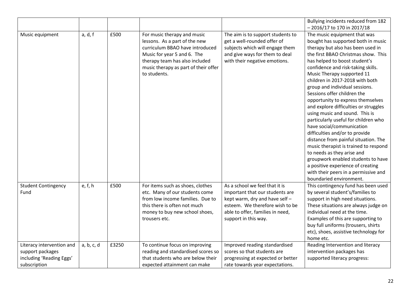|                                                                           |            |       |                                                                                                                                                                                                                          |                                                                                                                                                                                                    | Bullying incidents reduced from 182                                                                                                                                                                                                                                                                                                                                                                                                                                                                                                                                                                                                                                                                                                                                                                                                         |
|---------------------------------------------------------------------------|------------|-------|--------------------------------------------------------------------------------------------------------------------------------------------------------------------------------------------------------------------------|----------------------------------------------------------------------------------------------------------------------------------------------------------------------------------------------------|---------------------------------------------------------------------------------------------------------------------------------------------------------------------------------------------------------------------------------------------------------------------------------------------------------------------------------------------------------------------------------------------------------------------------------------------------------------------------------------------------------------------------------------------------------------------------------------------------------------------------------------------------------------------------------------------------------------------------------------------------------------------------------------------------------------------------------------------|
|                                                                           |            |       |                                                                                                                                                                                                                          |                                                                                                                                                                                                    | $-2016/17$ to 170 in 2017/18                                                                                                                                                                                                                                                                                                                                                                                                                                                                                                                                                                                                                                                                                                                                                                                                                |
| Music equipment                                                           | a, d, f    | £500  | For music therapy and music<br>lessons. As a part of the new<br>curriculum BBAO have introduced<br>Music for year 5 and 6. The<br>therapy team has also included<br>music therapy as part of their offer<br>to students. | The aim is to support students to<br>get a well-rounded offer of<br>subjects which will engage them<br>and give ways for them to deal<br>with their negative emotions.                             | The music equipment that was<br>bought has supported both in music<br>therapy but also has been used in<br>the first BBAO Christmas show. This<br>has helped to boost student's<br>confidence and risk-taking skills.<br>Music Therapy supported 11<br>children in 2017-2018 with both<br>group and individual sessions.<br>Sessions offer children the<br>opportunity to express themselves<br>and explore difficulties or struggles<br>using music and sound. This is<br>particularly useful for children who<br>have social/communication<br>difficulties and/or to provide<br>distance from painful situation. The<br>music therapist is trained to respond<br>to needs as they arise and<br>groupwork enabled students to have<br>a positive experience of creating<br>with their peers in a permissive and<br>boundaried environment. |
| <b>Student Contingency</b><br>Fund                                        | e, f, h    | £500  | For items such as shoes, clothes<br>etc. Many of our students come<br>from low income families. Due to<br>this there is often not much<br>money to buy new school shoes,<br>trousers etc.                                | As a school we feel that it is<br>important that our students are<br>kept warm, dry and have self -<br>esteem. We therefore wish to be<br>able to offer, families in need,<br>support in this way. | This contingency fund has been used<br>by several student's/families to<br>support in high need situations.<br>These situations are always judge on<br>individual need at the time.<br>Examples of this are supporting to                                                                                                                                                                                                                                                                                                                                                                                                                                                                                                                                                                                                                   |
| Literacy intervention and<br>support packages<br>including 'Reading Eggs' | a, b, c, d | £3250 | To continue focus on improving<br>reading and standardised scores so<br>that students who are below their                                                                                                                | Improved reading standardised<br>scores so that students are<br>progressing at expected or better                                                                                                  | buy full uniforms (trousers, shirts<br>etc), shoes, assistive technology for<br>home etc.<br>Reading Intervention and literacy<br>intervention packages has<br>supported literacy progress:                                                                                                                                                                                                                                                                                                                                                                                                                                                                                                                                                                                                                                                 |
| subscription                                                              |            |       | expected attainment can make                                                                                                                                                                                             | rate towards year expectations.                                                                                                                                                                    |                                                                                                                                                                                                                                                                                                                                                                                                                                                                                                                                                                                                                                                                                                                                                                                                                                             |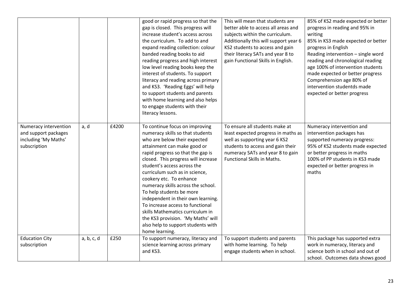|                                                                                       |            |       | good or rapid progress so that the<br>gap is closed. This progress will<br>increase student's access across<br>the curriculum. To add to and<br>expand reading collection: colour<br>banded reading books to aid<br>reading progress and high interest<br>low level reading books keep the<br>interest of students. To support<br>literacy and reading across primary<br>and KS3. 'Reading Eggs' will help<br>to support students and parents<br>with home learning and also helps<br>to engage students with their<br>literacy lessons.                                                | This will mean that students are<br>better able to access all areas and<br>subjects within the curriculum.<br>Additionally this will support year 6<br>KS2 students to access and gain<br>their literacy SATs and year 8 to<br>gain Functional Skills in English. | 85% of KS2 made expected or better<br>progress in reading and 95% in<br>writing<br>85% in KS3 made expected or better<br>progress in English<br>Reading intervention - single word<br>reading and chronological reading<br>age 100% of intervention students<br>made expected or better progress<br>Comprehension age 80% of<br>intervention studentds made<br>expected or better progress |
|---------------------------------------------------------------------------------------|------------|-------|-----------------------------------------------------------------------------------------------------------------------------------------------------------------------------------------------------------------------------------------------------------------------------------------------------------------------------------------------------------------------------------------------------------------------------------------------------------------------------------------------------------------------------------------------------------------------------------------|-------------------------------------------------------------------------------------------------------------------------------------------------------------------------------------------------------------------------------------------------------------------|--------------------------------------------------------------------------------------------------------------------------------------------------------------------------------------------------------------------------------------------------------------------------------------------------------------------------------------------------------------------------------------------|
| Numeracy intervention<br>and support packages<br>including 'My Maths'<br>subscription | a, d       | £4200 | To continue focus on improving<br>numeracy skills so that students<br>who are below their expected<br>attainment can make good or<br>rapid progress so that the gap is<br>closed. This progress will increase<br>student's access across the<br>curriculum such as in science,<br>cookery etc. To enhance<br>numeracy skills across the school.<br>To help students be more<br>independent in their own learning.<br>To increase access to functional<br>skills Mathematics curriculum in<br>the KS3 provision. 'My Maths' will<br>also help to support students with<br>home learning. | To ensure all students make at<br>least expected progress in maths as<br>well as supporting year 6 KS2<br>students to access and gain their<br>numeracy SATs and year 8 to gain<br><b>Functional Skills in Maths.</b>                                             | Numeracy intervention and<br>intervention packages has<br>supported numeracy progress:<br>95% of KS2 students made expected<br>or better progress in maths<br>100% of PP students in KS3 made<br>expected or better progress in<br>maths                                                                                                                                                   |
| <b>Education City</b><br>subscription                                                 | a, b, c, d | £250  | To support numeracy, literacy and<br>science learning across primary                                                                                                                                                                                                                                                                                                                                                                                                                                                                                                                    | To support students and parents<br>with home learning. To help                                                                                                                                                                                                    | This package has supported extra<br>work in numeracy, literacy and                                                                                                                                                                                                                                                                                                                         |
|                                                                                       |            |       | and KS3.                                                                                                                                                                                                                                                                                                                                                                                                                                                                                                                                                                                | engage students when in school.                                                                                                                                                                                                                                   | science both in school and out of<br>school. Outcomes data shows good                                                                                                                                                                                                                                                                                                                      |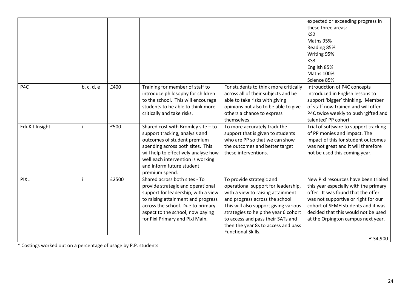|                       |            |       |                                                                                                                                                                                                                                                                     |                                                                                                                                                                                                                                                                                                                            | expected or exceeding progress in<br>these three areas:<br>KS <sub>2</sub><br>Maths 95%<br>Reading 85%<br>Writing 95%<br>KS3<br>English 85%<br>Maths 100%<br>Science 85%                                                                                                                 |
|-----------------------|------------|-------|---------------------------------------------------------------------------------------------------------------------------------------------------------------------------------------------------------------------------------------------------------------------|----------------------------------------------------------------------------------------------------------------------------------------------------------------------------------------------------------------------------------------------------------------------------------------------------------------------------|------------------------------------------------------------------------------------------------------------------------------------------------------------------------------------------------------------------------------------------------------------------------------------------|
| P4C                   | b, c, d, e | £400  | Training for member of staff to<br>introduce philosophy for children<br>to the school. This will encourage<br>students to be able to think more<br>critically and take risks.                                                                                       | For students to think more critically<br>across all of their subjects and be<br>able to take risks with giving<br>opinions but also to be able to give<br>others a chance to express<br>themselves.                                                                                                                        | Introudction of P4C concepts<br>introduced in English lessons to<br>support 'bigger' thinking. Member<br>of staff now trained and will offer<br>P4C twice weekly to push 'gifted and<br>talented' PP cohort                                                                              |
| <b>EduKit Insight</b> |            | £500  | Shared cost with Bromley site - to<br>support tracking, analysis and<br>outcomes of student premium<br>spending across both sites. This<br>will help to effectively analyse how<br>well each intervention is working<br>and inform future student<br>premium spend. | To more accurately track the<br>support that is given to students<br>who are PP so that we can show<br>the outcomes and better target<br>these interventions.                                                                                                                                                              | Trial of software to support tracking<br>of PP monies and impact. The<br>impact of this for student outcomes<br>was not great and it will therefore<br>not be used this coming year.                                                                                                     |
| <b>PIXL</b>           |            | £2500 | Shared across both sites - To<br>provide strategic and operational<br>support for leadership, with a view<br>to raising attainment and progress<br>across the school. Due to primary<br>aspect to the school, now paying<br>for Pixl Primary and Pixl Main.         | To provide strategic and<br>operational support for leadership,<br>with a view to raising attainment<br>and progress across the school.<br>This will also support giving various<br>strategies to help the year 6 cohort<br>to access and pass their SATs and<br>then the year 8s to access and pass<br>Functional Skills. | New Pixl resources have been trialed<br>this year especially with the primary<br>offer. It was found that the offer<br>was not supportive or right for our<br>cohort of SEMH students and it was<br>decided that this would not be used<br>at the Orpington campus next year.<br>£34,900 |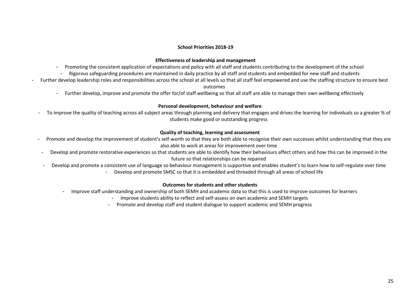## **School Priorities 2018-19**

## **Effectiveness of leadership and management**

- Promoting the consistent application of expectations and policy with all staff and students contributing to the development of the school
	- Rigorous safeguarding procedures are maintained in daily practice by all staff and students and embedded for new staff and students
- Further develop leadership roles and responsibilities across the school at all levels so that all staff feel empowered and use the staffing structure to ensure best

## outcomes

- Further develop, improve and promote the offer for/of staff wellbeing so that all staff are able to manage their own wellbeing effectively

## **Personal development, behaviour and welfare**

To improve the quality of teaching across all subject areas through planning and delivery that engages and drives the learning for individuals so a greater % of students make good or outstanding progress

## **Quality of teaching, learning and assessment**

- Promote and develop the improvement of student's self-worth so that they are both able to recognise their own successes whilst understanding that they are also able to work at areas for improvement over time
- Develop and promote restorative experiences so that students are able to identify how their behaviours affect others and how this can be improved in the future so that relationships can be repaired
- Develop and promote a consistent use of language so behaviour management is supportive and enables student's to learn how to self-regulate over time
	- Develop and promote SMSC so that it is embedded and threaded through all areas of school life

## **Outcomes for students and other students**

- Improve staff understanding and ownership of both SEMH and academic data so that this is used to improve outcomes for learners
	- Improve students ability to reflect and self-assess on own academic and SEMH targets
	- Promote and develop staff and student dialogue to support academic and SEMH progress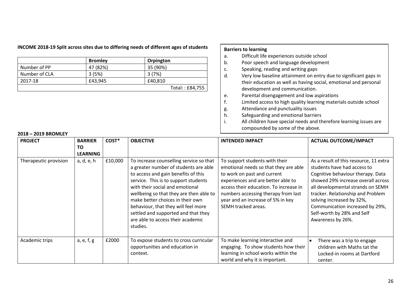## **INCOME 2018-19 Split across sites due to differing needs of different ages of students**

|               | <b>Bromley</b> | Orpington       |
|---------------|----------------|-----------------|
| Number of PP  | 47 (82%)       | 35 (90%)        |
| Number of CLA | 3(5%)          | 3(7%)           |
| 2017-18       | £43,945        | £40,810         |
|               |                | Total:: £84,755 |

## **Barriers to learning**

- a. Difficult life experiences outside school
- b. Poor speech and language development
- c. Speaking, reading and writing gaps
- d. Very low baseline attainment on entry due to significant gaps in their education as well as having social, emotional and personal development and communication.
- e. Parental disengagement and low aspirations
- f. Limited access to high quality learning materials outside school
- g. Attendance and punctuality issues
- h. Safeguarding and emotional barriers
- i. All children have special needs and therefore learning issues are compounded by some of the above.

| <b>PROJECT</b>        | <b>BARRIER</b><br>ΤO<br><b>LEARNING</b> | COST*   | <b>OBJECTIVE</b>                                                                                                                                                                                                                                                                                                                                                                                                 | <b>INTENDED IMPACT</b>                                                                                                                                                                                                                                                                    | <b>ACTUAL OUTCOME/IMPACT</b>                                                                                                                                                                                                                                                                                                                  |
|-----------------------|-----------------------------------------|---------|------------------------------------------------------------------------------------------------------------------------------------------------------------------------------------------------------------------------------------------------------------------------------------------------------------------------------------------------------------------------------------------------------------------|-------------------------------------------------------------------------------------------------------------------------------------------------------------------------------------------------------------------------------------------------------------------------------------------|-----------------------------------------------------------------------------------------------------------------------------------------------------------------------------------------------------------------------------------------------------------------------------------------------------------------------------------------------|
| Therapeutic provision | a, d, e, h                              | £10,000 | To increase counselling service so that<br>a greater number of students are able<br>to access and gain benefits of this<br>service. This is to support students<br>with their social and emotional<br>wellbeing so that they are then able to<br>make better choices in their own<br>behaviour, that they will feel more<br>settled and supported and that they<br>are able to access their academic<br>studies. | To support students with their<br>emotional needs so that they are able<br>to work on past and current<br>experiences and are better able to<br>access their education. To increase in<br>numbers accessing therapy from last<br>year and an increase of 5% in key<br>SEMH tracked areas. | As a result of this resource, 11 extra<br>students have had access to<br>Cognitive behaviour therapy. Data<br>showed 29% increase overall across<br>all developmental strands on SEMH<br>tracker. Relationship and Problem<br>solving increased by 32%,<br>Communication increased by 29%,<br>Self-worth by 28% and Self<br>Awareness by 26%. |
| Academic trips        | a, e, f, g                              | £2000   | To expose students to cross curricular<br>opportunities and education in<br>context.                                                                                                                                                                                                                                                                                                                             | To make learning interactive and<br>engaging. To show students how their<br>learning in school works within the<br>world and why it is important.                                                                                                                                         | There was a trip to engage<br>$\bullet$<br>children with Maths tat the<br>Locked-in rooms at Dartford<br>center.                                                                                                                                                                                                                              |

#### **2018 – 2019 BROMLEY**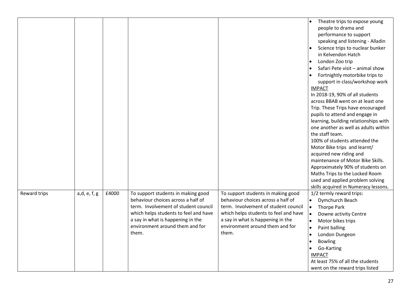|              |              |       |                                       |                                       | Theatre trips to expose young                |
|--------------|--------------|-------|---------------------------------------|---------------------------------------|----------------------------------------------|
|              |              |       |                                       |                                       | people to drama and                          |
|              |              |       |                                       |                                       | performance to support                       |
|              |              |       |                                       |                                       | speaking and listening - Alladin             |
|              |              |       |                                       |                                       | Science trips to nuclear bunker              |
|              |              |       |                                       |                                       | in Kelvendon Hatch                           |
|              |              |       |                                       |                                       |                                              |
|              |              |       |                                       |                                       | London Zoo trip<br>$\bullet$                 |
|              |              |       |                                       |                                       | Safari Pete visit - animal show<br>$\bullet$ |
|              |              |       |                                       |                                       | Fortnightly motorbike trips to               |
|              |              |       |                                       |                                       | support in class/workshop work               |
|              |              |       |                                       |                                       | <b>IMPACT</b>                                |
|              |              |       |                                       |                                       | In 2018-19, 90% of all students              |
|              |              |       |                                       |                                       | across BBAB went on at least one             |
|              |              |       |                                       |                                       | Trip. These Trips have encouraged            |
|              |              |       |                                       |                                       | pupils to attend and engage in               |
|              |              |       |                                       |                                       | learning, building relationships with        |
|              |              |       |                                       |                                       | one another as well as adults within         |
|              |              |       |                                       |                                       | the staff team.                              |
|              |              |       |                                       |                                       | 100% of students attended the                |
|              |              |       |                                       |                                       | Motor Bike trips and learnt/                 |
|              |              |       |                                       |                                       | acquired new riding and                      |
|              |              |       |                                       |                                       | maintenance of Motor Bike Skills.            |
|              |              |       |                                       |                                       | Approximately 90% of students on             |
|              |              |       |                                       |                                       | Maths Trips to the Locked Room               |
|              |              |       |                                       |                                       | used and applied problem solving             |
|              |              |       |                                       |                                       | skills acquired in Numeracy lessons.         |
| Reward trips | a,d, e, f, g | £4000 | To support students in making good    | To support students in making good    | 1/2 termly reward trips:                     |
|              |              |       | behaviour choices across a half of    | behaviour choices across a half of    | Dymchurch Beach<br>$\bullet$                 |
|              |              |       | term. Involvement of student council  | term. Involvement of student council  | <b>Thorpe Park</b><br>$\bullet$              |
|              |              |       | which helps students to feel and have | which helps students to feel and have | $\bullet$<br>Downe activity Centre           |
|              |              |       | a say in what is happening in the     | a say in what is happening in the     | Motor bikes trips<br>$\bullet$               |
|              |              |       | environment around them and for       | environment around them and for       | Paint balling<br>$\bullet$                   |
|              |              |       | them.                                 | them.                                 | London Dungeon<br>$\bullet$                  |
|              |              |       |                                       |                                       | <b>Bowling</b><br>$\bullet$                  |
|              |              |       |                                       |                                       | Go-Karting                                   |
|              |              |       |                                       |                                       | <b>IMPACT</b>                                |
|              |              |       |                                       |                                       | At least 75% of all the students             |
|              |              |       |                                       |                                       | went on the reward trips listed              |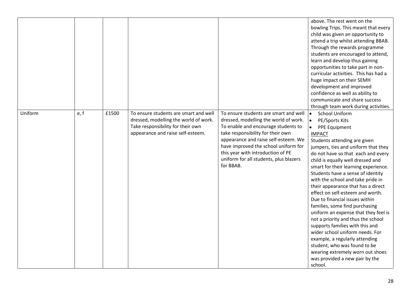|         |      |       |                                                                                                                                                          |                                                                                                                                                                                                                                                                                                                                        | above. The rest went on the<br>bowling Trips. This meant that every<br>child was given an opportunity to<br>attend a trip whilst attending BBAB.<br>Through the rewards programme<br>students are encouraged to attend,<br>learn and develop thus gaining<br>opportunities to take part in non-<br>curricular activities. This has had a<br>huge impact on their SEMH<br>development and improved<br>confidence as well as ability to<br>communicate and share success<br>through team work during activities.                                                                                                                                                                                                                                                                                                                            |
|---------|------|-------|----------------------------------------------------------------------------------------------------------------------------------------------------------|----------------------------------------------------------------------------------------------------------------------------------------------------------------------------------------------------------------------------------------------------------------------------------------------------------------------------------------|-------------------------------------------------------------------------------------------------------------------------------------------------------------------------------------------------------------------------------------------------------------------------------------------------------------------------------------------------------------------------------------------------------------------------------------------------------------------------------------------------------------------------------------------------------------------------------------------------------------------------------------------------------------------------------------------------------------------------------------------------------------------------------------------------------------------------------------------|
| Uniform | e, f | £1500 | To ensure students are smart and well<br>dressed, modelling the world of work.<br>Take responsibility for their own<br>appearance and raise self-esteem. | To ensure students are smart and well<br>dressed, modelling the world of work.<br>To enable and encourage students to<br>take responsibility for their own<br>appearance and raise self-esteem. We<br>have improved the school uniform for<br>this year with introduction of PE<br>uniform for all students, plus blazers<br>for BBAB. | <b>School Uniform</b><br>$\bullet$<br>PE/Sports Kits<br>$\bullet$<br>$\bullet$<br>PPE Equipment<br><b>IMPACT</b><br>Students attending are given<br>jumpers, ties and uniform that they<br>do not have so that each and every<br>child is equally well dressed and<br>smart for their learning experience.<br>Students have a sense of identity<br>with the school and take pride in<br>their appearance that has a direct<br>effect on self-esteem and worth.<br>Due to financial issues within<br>families, some find purchasing<br>uniform an expense that they feel is<br>not a priority and thus the school<br>supports families with this and<br>wider school uniform needs. For<br>example, a regularly attending<br>student, who was found to be<br>wearing extremely worn out shoes<br>was provided a new pair by the<br>school. |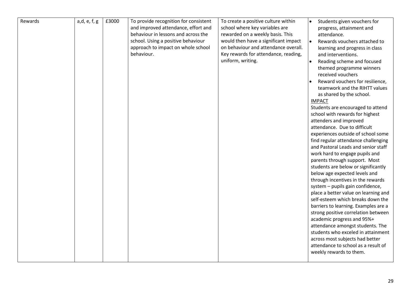| Rewards | a,d, e, f, g | £3000 | To provide recognition for consistent | To create a positive culture within  | $\bullet$ | Students given vouchers for          |
|---------|--------------|-------|---------------------------------------|--------------------------------------|-----------|--------------------------------------|
|         |              |       | and improved attendance, effort and   | school where key variables are       |           | progress, attainment and             |
|         |              |       | behaviour in lessons and across the   | rewarded on a weekly basis. This     |           | attendance.                          |
|         |              |       | school. Using a positive behaviour    | would then have a significant impact | I۰        | Rewards vouchers attached to         |
|         |              |       | approach to impact on whole school    | on behaviour and attendance overall. |           |                                      |
|         |              |       | behaviour.                            | Key rewards for attendance, reading, |           | learning and progress in class       |
|         |              |       |                                       |                                      |           | and interventions.                   |
|         |              |       |                                       | uniform, writing.                    | $\bullet$ | Reading scheme and focused           |
|         |              |       |                                       |                                      |           | themed programme winners             |
|         |              |       |                                       |                                      |           | received vouchers                    |
|         |              |       |                                       |                                      |           | Reward vouchers for resilience,      |
|         |              |       |                                       |                                      |           | teamwork and the RIHTT values        |
|         |              |       |                                       |                                      |           | as shared by the school.             |
|         |              |       |                                       |                                      |           | <b>IMPACT</b>                        |
|         |              |       |                                       |                                      |           | Students are encouraged to attend    |
|         |              |       |                                       |                                      |           | school with rewards for highest      |
|         |              |       |                                       |                                      |           | attenders and improved               |
|         |              |       |                                       |                                      |           | attendance. Due to difficult         |
|         |              |       |                                       |                                      |           | experiences outside of school some   |
|         |              |       |                                       |                                      |           | find regular attendance challenging  |
|         |              |       |                                       |                                      |           | and Pastoral Leads and senior staff  |
|         |              |       |                                       |                                      |           | work hard to engage pupils and       |
|         |              |       |                                       |                                      |           | parents through support. Most        |
|         |              |       |                                       |                                      |           | students are below or significantly  |
|         |              |       |                                       |                                      |           | below age expected levels and        |
|         |              |       |                                       |                                      |           | through incentives in the rewards    |
|         |              |       |                                       |                                      |           | system - pupils gain confidence,     |
|         |              |       |                                       |                                      |           | place a better value on learning and |
|         |              |       |                                       |                                      |           | self-esteem which breaks down the    |
|         |              |       |                                       |                                      |           | barriers to learning. Examples are a |
|         |              |       |                                       |                                      |           | strong positive correlation between  |
|         |              |       |                                       |                                      |           | academic progress and 95%+           |
|         |              |       |                                       |                                      |           | attendance amongst students. The     |
|         |              |       |                                       |                                      |           | students who exceled in attainment   |
|         |              |       |                                       |                                      |           | across most subjects had better      |
|         |              |       |                                       |                                      |           | attendance to school as a result of  |
|         |              |       |                                       |                                      |           | weekly rewards to them.              |
|         |              |       |                                       |                                      |           |                                      |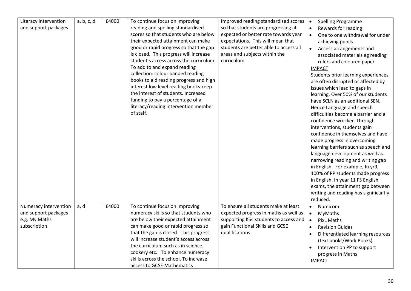| Literacy intervention<br>and support packages                                  | a, b, c, d | £4000 | To continue focus on improving<br>reading and spelling standardised<br>scores so that students who are below<br>their expected attainment can make<br>good or rapid progress so that the gap<br>is closed. This progress will increase<br>student's access across the curriculum.<br>To add to and expand reading<br>collection: colour banded reading<br>books to aid reading progress and high<br>interest low level reading books keep<br>the interest of students. Increased<br>funding to pay a percentage of a<br>literacy/reading intervention member<br>of staff. | Improved reading standardised scores<br>so that students are progressing at<br>expected or better rate towards year<br>expectations. This will mean that<br>students are better able to access all<br>areas and subjects within the<br>curriculum. | <b>Spelling Programme</b><br>$\bullet$<br>Rewards for reading<br>$\bullet$<br>One to one withdrawal for under<br>$\bullet$<br>achieving pupils<br>$\bullet$<br>Access arrangements and<br>associated materials eg reading<br>rulers and coloured paper<br><b>IMPACT</b><br>Students prior learning experiences<br>are often disrupted or affected by<br>issues which lead to gaps in<br>learning. Over 50% of our students<br>have SCLN as an additional SEN.<br>Hence Language and speech<br>difficulties become a barrier and a<br>confidence wrecker. Through<br>interventions, students gain<br>confidence in themselves and have<br>made progress in overcoming<br>learning barriers such as speech and<br>language development as well as<br>narrowing reading and writing gap<br>in English. For example, In yr9,<br>100% of PP students made progress |
|--------------------------------------------------------------------------------|------------|-------|---------------------------------------------------------------------------------------------------------------------------------------------------------------------------------------------------------------------------------------------------------------------------------------------------------------------------------------------------------------------------------------------------------------------------------------------------------------------------------------------------------------------------------------------------------------------------|----------------------------------------------------------------------------------------------------------------------------------------------------------------------------------------------------------------------------------------------------|---------------------------------------------------------------------------------------------------------------------------------------------------------------------------------------------------------------------------------------------------------------------------------------------------------------------------------------------------------------------------------------------------------------------------------------------------------------------------------------------------------------------------------------------------------------------------------------------------------------------------------------------------------------------------------------------------------------------------------------------------------------------------------------------------------------------------------------------------------------|
|                                                                                |            |       |                                                                                                                                                                                                                                                                                                                                                                                                                                                                                                                                                                           |                                                                                                                                                                                                                                                    | in English. In year 11 FS English<br>exams, the attainment gap between<br>writing and reading has significantly<br>reduced.                                                                                                                                                                                                                                                                                                                                                                                                                                                                                                                                                                                                                                                                                                                                   |
| Numeracy intervention<br>and support packages<br>e.g. My Maths<br>subscription | a, d       | £4000 | To continue focus on improving<br>numeracy skills so that students who<br>are below their expected attainment<br>can make good or rapid progress so<br>that the gap is closed. This progress<br>will increase student's access across<br>the curriculum such as in science,<br>cookery etc. To enhance numeracy<br>skills across the school. To increase<br>access to GCSE Mathematics                                                                                                                                                                                    | To ensure all students make at least<br>expected progress in maths as well as<br>supporting KS4 students to access and<br>gain Functional Skills and GCSE<br>qualifications.                                                                       | Numicom<br>$\bullet$<br>MyMaths<br>$\bullet$<br><b>PixL Maths</b><br>I۰<br><b>Revision Guides</b><br>$\bullet$<br>Differentiated learning resources<br>(text books/Work Books)<br>Intervention PP to support<br>progress in Maths<br><b>IMPACT</b>                                                                                                                                                                                                                                                                                                                                                                                                                                                                                                                                                                                                            |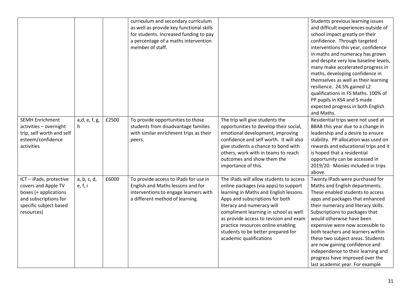|                           |               |       | curriculum and secondary curriculum      |                                         | Students previous learning issues     |
|---------------------------|---------------|-------|------------------------------------------|-----------------------------------------|---------------------------------------|
|                           |               |       | as well as provide key functional skills |                                         | and difficult experiences outside of  |
|                           |               |       | for students. Increased funding to pay   |                                         | school impact greatly on their        |
|                           |               |       | a percentage of a maths intervention     |                                         | confidence. Through targeted          |
|                           |               |       | member of staff.                         |                                         | interventions this year, confidence   |
|                           |               |       |                                          |                                         | in maths and numeracy has grown       |
|                           |               |       |                                          |                                         | and despite very low baseline levels, |
|                           |               |       |                                          |                                         | many make accelerated progress in     |
|                           |               |       |                                          |                                         | maths, developing confidence in       |
|                           |               |       |                                          |                                         | themselves as well as their learning  |
|                           |               |       |                                          |                                         | resilience. 24.5% gained L2           |
|                           |               |       |                                          |                                         | qualifications in FS Maths. 100% of   |
|                           |               |       |                                          |                                         | PP pupils in KS4 and 5 made           |
|                           |               |       |                                          |                                         | expected progress in both English     |
|                           |               |       |                                          |                                         | and Maths.                            |
| <b>SEMH Enrichment</b>    | a,d, e, f, g, | £2500 | To provide opportunities to those        | The trip will give students the         | Residential trips were not used at    |
| activities - overnight    | h.            |       | students from disadvantage families      | opportunities to develop their social,  | BBAB this year due to a change in     |
| trip, self worth and self |               |       | with similar enrichment trips as their   | emotional development, improving        | leadership and a desire to ensure     |
| esteem/confidence         |               |       |                                          | confidence and self worth. It will also | stability. PP allocation was used on  |
| activities                |               |       | peers.                                   |                                         |                                       |
|                           |               |       |                                          | give students a chance to bond with     | rewards and educational trips and it  |
|                           |               |       |                                          | others, work with in teams to reach     | is hoped that a residential           |
|                           |               |       |                                          | outcomes and show them the              | opportunity can be accessed in        |
|                           |               |       |                                          | importance of this.                     | 2019/20. Monies included in trips     |
|                           |               |       |                                          |                                         | above.                                |
| ICT - iPads, protective   | a, b, c, d,   | £6000 | To provide access to iPads for use in    | The iPads will allow students to access | Twenty IPads were purchased for       |
| covers and Apple TV       | e, f, i       |       | English and Maths lessons and for        | online packages (via apps) to support   | Maths and English departments.        |
| boxes (+ applications     |               |       | interventions to engage learners with    | learning in Maths and English lessons.  | These enabled students to access      |
| and subscriptions for     |               |       | a different method of learning.          | Apps and subscriptions for both         | apps and packages that enhanced       |
| specific subject based    |               |       |                                          | literacy and numeracy will              | their numeracy and literacy skills.   |
| resources)                |               |       |                                          | compliment learning in school as well   | Subscriptions to packages that        |
|                           |               |       |                                          | as provide access to revision and exam  | would otherwise have been             |
|                           |               |       |                                          | practice resources online enabling      | expensive were now accessible to      |
|                           |               |       |                                          | students to be better prepared for      | both teachers and learners within     |
|                           |               |       |                                          | academic qualifications                 | these two subject areas. Students     |
|                           |               |       |                                          |                                         | are now gaining confidence and        |
|                           |               |       |                                          |                                         | independence to their learning and    |
|                           |               |       |                                          |                                         | progress have improved over the       |
|                           |               |       |                                          |                                         | last academic year. For example       |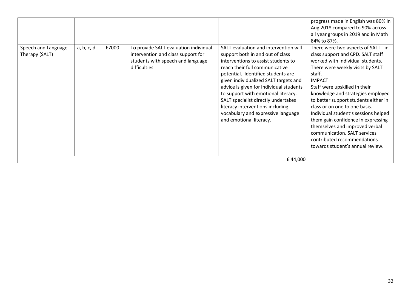| Speech and Language<br>Therapy (SALT) | a, b, c, d | £7000 | To provide SALT evaluation individual<br>intervention and class support for<br>students with speech and language<br>difficulties. | SALT evaluation and intervention will<br>support both in and out of class<br>interventions to assist students to<br>reach their full communicative<br>potential. Identified students are<br>given individualized SALT targets and<br>advice is given for individual students<br>to support with emotional literacy.<br>SALT specialist directly undertakes | progress made in English was 80% in<br>Aug 2018 compared to 90% across<br>all year groups in 2019 and in Math<br>84% to 87%.<br>There were two aspects of SALT - in<br>class support and CPD. SALT staff<br>worked with individual students.<br>There were weekly visits by SALT<br>staff.<br><b>IMPACT</b><br>Staff were upskilled in their<br>knowledge and strategies employed<br>to better support students either in |
|---------------------------------------|------------|-------|-----------------------------------------------------------------------------------------------------------------------------------|------------------------------------------------------------------------------------------------------------------------------------------------------------------------------------------------------------------------------------------------------------------------------------------------------------------------------------------------------------|---------------------------------------------------------------------------------------------------------------------------------------------------------------------------------------------------------------------------------------------------------------------------------------------------------------------------------------------------------------------------------------------------------------------------|
|                                       |            |       |                                                                                                                                   | literacy interventions including<br>vocabulary and expressive language<br>and emotional literacy.                                                                                                                                                                                                                                                          | class or on one to one basis.<br>Individual student's sessions helped<br>them gain confidence in expressing<br>themselves and improved verbal<br>communication. SALT services<br>contributed recommendations<br>towards student's annual review.                                                                                                                                                                          |
|                                       |            |       |                                                                                                                                   |                                                                                                                                                                                                                                                                                                                                                            |                                                                                                                                                                                                                                                                                                                                                                                                                           |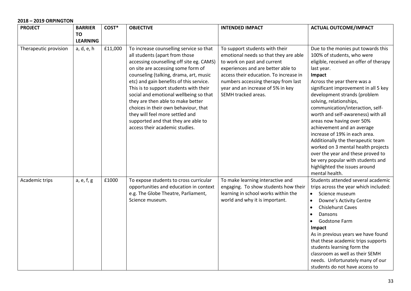## **2018 – 2019 ORPINGTON**

| <b>PROJECT</b>        | <b>BARRIER</b>  | COST*   | <b>OBJECTIVE</b>                                                                                                                                                                                                                                                                                                                                                                                                                                                                                                              | <b>INTENDED IMPACT</b>                                                                                                                                                                                                                                                                    | <b>ACTUAL OUTCOME/IMPACT</b>                                                                                                                                                                                                                                                                                                                                                                                                                                                                                                                                                                                                                       |
|-----------------------|-----------------|---------|-------------------------------------------------------------------------------------------------------------------------------------------------------------------------------------------------------------------------------------------------------------------------------------------------------------------------------------------------------------------------------------------------------------------------------------------------------------------------------------------------------------------------------|-------------------------------------------------------------------------------------------------------------------------------------------------------------------------------------------------------------------------------------------------------------------------------------------|----------------------------------------------------------------------------------------------------------------------------------------------------------------------------------------------------------------------------------------------------------------------------------------------------------------------------------------------------------------------------------------------------------------------------------------------------------------------------------------------------------------------------------------------------------------------------------------------------------------------------------------------------|
|                       | <b>TO</b>       |         |                                                                                                                                                                                                                                                                                                                                                                                                                                                                                                                               |                                                                                                                                                                                                                                                                                           |                                                                                                                                                                                                                                                                                                                                                                                                                                                                                                                                                                                                                                                    |
|                       | <b>LEARNING</b> |         |                                                                                                                                                                                                                                                                                                                                                                                                                                                                                                                               |                                                                                                                                                                                                                                                                                           |                                                                                                                                                                                                                                                                                                                                                                                                                                                                                                                                                                                                                                                    |
| Therapeutic provision | a, d, e, h      | £11,000 | To increase counselling service so that<br>all students (apart from those<br>accessing counselling off site eg. CAMS)<br>on site are accessing some form of<br>counseling (talking, drama, art, music<br>etc) and gain benefits of this service.<br>This is to support students with their<br>social and emotional wellbeing so that<br>they are then able to make better<br>choices in their own behaviour, that<br>they will feel more settled and<br>supported and that they are able to<br>access their academic studies. | To support students with their<br>emotional needs so that they are able<br>to work on past and current<br>experiences and are better able to<br>access their education. To increase in<br>numbers accessing therapy from last<br>year and an increase of 5% in key<br>SEMH tracked areas. | Due to the monies put towards this<br>100% of students, who were<br>eligible, received an offer of therapy<br>last year.<br>Impact<br>Across the year there was a<br>significant improvement in all 5 key<br>development strands (problem<br>solving, relationships,<br>communication/interaction, self-<br>worth and self-awareness) with all<br>areas now having over 50%<br>achievement and an average<br>increase of 19% in each area.<br>Additionally the therapeutic team<br>worked on 3 mental health projects<br>over the year and these proved to<br>be very popular with students and<br>highlighted the issues around<br>mental health. |
| Academic trips        | a, e, f, g      | £1000   | To expose students to cross curricular<br>opportunities and education in context<br>e.g. The Globe Theatre, Parliament,<br>Science museum.                                                                                                                                                                                                                                                                                                                                                                                    | To make learning interactive and<br>engaging. To show students how their<br>learning in school works within the<br>world and why it is important.                                                                                                                                         | Students attended several academic<br>trips across the year which included:<br>Science museum<br>$\bullet$<br>Downe's Activity Centre<br>$\bullet$<br><b>Chislehurst Caves</b><br>$\bullet$<br>Dansons<br>$\bullet$<br><b>Godstone Farm</b><br>Impact<br>As in previous years we have found<br>that these academic trips supports<br>students learning form the<br>classroom as well as their SEMH<br>needs. Unfortunately many of our<br>students do not have access to                                                                                                                                                                           |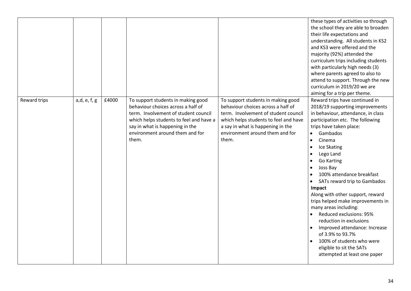|              |              |       |                                                                                                                                                                                                                                            |                                                                                                                                                                                                                                            | these types of activities so through<br>the school they are able to broaden<br>their life expectations and<br>understanding. All students in KS2<br>and KS3 were offered and the<br>majority (92%) attended the<br>curriculum trips including students<br>with particularly high needs (3)<br>where parents agreed to also to<br>attend to support. Through the new<br>curriculum in 2019/20 we are<br>aiming for a trip per theme.                                                                                                                                                                                                                                                        |
|--------------|--------------|-------|--------------------------------------------------------------------------------------------------------------------------------------------------------------------------------------------------------------------------------------------|--------------------------------------------------------------------------------------------------------------------------------------------------------------------------------------------------------------------------------------------|--------------------------------------------------------------------------------------------------------------------------------------------------------------------------------------------------------------------------------------------------------------------------------------------------------------------------------------------------------------------------------------------------------------------------------------------------------------------------------------------------------------------------------------------------------------------------------------------------------------------------------------------------------------------------------------------|
| Reward trips | a,d, e, f, g | £4000 | To support students in making good<br>behaviour choices across a half of<br>term. Involvement of student council<br>which helps students to feel and have a<br>say in what is happening in the<br>environment around them and for<br>them. | To support students in making good<br>behaviour choices across a half of<br>term. Involvement of student council<br>which helps students to feel and have<br>a say in what is happening in the<br>environment around them and for<br>them. | Reward trips have continued in<br>2018/19 supporting improvements<br>in behaviour, attendance, in class<br>participation etc. The following<br>trips have taken place:<br>Gambados<br>Cinema<br>$\bullet$<br>Ice Skating<br>$\bullet$<br>Lego Land<br><b>Go Karting</b><br>Joss Bay<br>$\bullet$<br>100% attendance breakfast<br>$\bullet$<br>SATs reward trip to Gambados<br>Impact<br>Along with other support, reward<br>trips helped make improvements in<br>many areas including:<br>Reduced exclusions: 95%<br>reduction in exclusions<br>Improved attendance: Increase<br>of 3.9% to 93.7%<br>100% of students who were<br>eligible to sit the SATs<br>attempted at least one paper |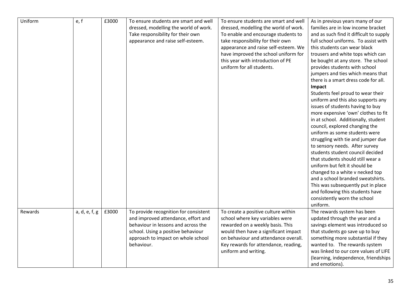| Uniform | e, f          | £3000 | To ensure students are smart and well<br>dressed, modelling the world of work.<br>Take responsibility for their own<br>appearance and raise self-esteem.                                                      | To ensure students are smart and well<br>dressed, modelling the world of work.<br>To enable and encourage students to<br>take responsibility for their own<br>appearance and raise self-esteem. We<br>have improved the school uniform for<br>this year with introduction of PE<br>uniform for all students. | As in previous years many of our<br>families are in low income bracket<br>and as such find it difficult to supply<br>full school uniforms. To assist with<br>this students can wear black<br>trousers and white tops which can<br>be bought at any store. The school<br>provides students with school<br>jumpers and ties which means that<br>there is a smart dress code for all.<br><b>Impact</b><br>Students feel proud to wear their<br>uniform and this also supports any<br>issues of students having to buy<br>more expensive 'own' clothes to fit<br>in at school. Additionally, student<br>council, explored changing the<br>uniform as some students were<br>struggling with tie and jumper due<br>to sensory needs. After survey<br>students student council decided<br>that students should still wear a<br>uniform but felt it should be<br>changed to a white v necked top<br>and a school branded sweatshirts.<br>This was subsequently put in place<br>and following this students have<br>consistently worn the school<br>uniform. |
|---------|---------------|-------|---------------------------------------------------------------------------------------------------------------------------------------------------------------------------------------------------------------|--------------------------------------------------------------------------------------------------------------------------------------------------------------------------------------------------------------------------------------------------------------------------------------------------------------|-----------------------------------------------------------------------------------------------------------------------------------------------------------------------------------------------------------------------------------------------------------------------------------------------------------------------------------------------------------------------------------------------------------------------------------------------------------------------------------------------------------------------------------------------------------------------------------------------------------------------------------------------------------------------------------------------------------------------------------------------------------------------------------------------------------------------------------------------------------------------------------------------------------------------------------------------------------------------------------------------------------------------------------------------------|
| Rewards | a, d, e, f, g | £3000 | To provide recognition for consistent<br>and improved attendance, effort and<br>behaviour in lessons and across the<br>school. Using a positive behaviour<br>approach to impact on whole school<br>behaviour. | To create a positive culture within<br>school where key variables were<br>rewarded on a weekly basis. This<br>would then have a significant impact<br>on behaviour and attendance overall.<br>Key rewards for attendance, reading,<br>uniform and writing.                                                   | The rewards system has been<br>updated through the year and a<br>savings element was introduced so<br>that students go save up to buy<br>something more substantial if they<br>wanted to. The rewards system<br>was linked to our core values of LIFE<br>(learning, independence, friendships<br>and emotions).                                                                                                                                                                                                                                                                                                                                                                                                                                                                                                                                                                                                                                                                                                                                     |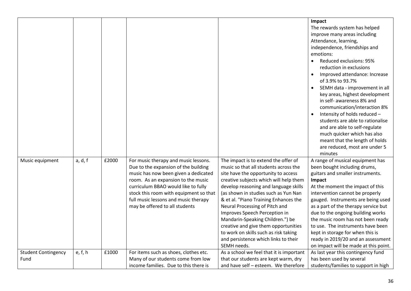|                            |         |       |                                        |                                          | Impact<br>The rewards system has helped    |
|----------------------------|---------|-------|----------------------------------------|------------------------------------------|--------------------------------------------|
|                            |         |       |                                        |                                          | improve many areas including               |
|                            |         |       |                                        |                                          | Attendance, learning,                      |
|                            |         |       |                                        |                                          | independence, friendships and              |
|                            |         |       |                                        |                                          | emotions:                                  |
|                            |         |       |                                        |                                          | Reduced exclusions: 95%                    |
|                            |         |       |                                        |                                          | reduction in exclusions                    |
|                            |         |       |                                        |                                          | Improved attendance: Increase<br>$\bullet$ |
|                            |         |       |                                        |                                          | of 3.9% to 93.7%                           |
|                            |         |       |                                        |                                          | SEMH data - improvement in all             |
|                            |         |       |                                        |                                          | key areas, highest development             |
|                            |         |       |                                        |                                          | in self- awareness 8% and                  |
|                            |         |       |                                        |                                          | communication/interaction 8%               |
|                            |         |       |                                        |                                          | Intensity of holds reduced -               |
|                            |         |       |                                        |                                          | students are able to rationalise           |
|                            |         |       |                                        |                                          | and are able to self-regulate              |
|                            |         |       |                                        |                                          | much quicker which has also                |
|                            |         |       |                                        |                                          | meant that the length of holds             |
|                            |         |       |                                        |                                          | are reduced, most are under 5              |
|                            |         |       |                                        |                                          | minutes                                    |
| Music equipment            | a, d, f | £2000 | For music therapy and music lessons.   | The impact is to extend the offer of     | A range of musical equipment has           |
|                            |         |       | Due to the expansion of the building   | music so that all students across the    | been bought including drums,               |
|                            |         |       | music has now been given a dedicated   | site have the opportunity to access      | guitars and smaller instruments.           |
|                            |         |       | room. As an expansion to the music     | creative subjects which will help them   | Impact                                     |
|                            |         |       | curriculum BBAO would like to fully    | develop reasoning and language skills    | At the moment the impact of this           |
|                            |         |       | stock this room with equipment so that | (as shown in studies such as Yun Nan     | intervention cannot be properly            |
|                            |         |       | full music lessons and music therapy   | & et al. "Piano Training Enhances the    | gauged. Instruments are being used         |
|                            |         |       | may be offered to all students         | Neural Processing of Pitch and           | as a part of the therapy service but       |
|                            |         |       |                                        | Improves Speech Perception in            | due to the ongoing building works          |
|                            |         |       |                                        | Mandarin-Speaking Children.") be         | the music room has not been ready          |
|                            |         |       |                                        | creative and give them opportunities     | to use. The instruments have been          |
|                            |         |       |                                        | to work on skills such as risk taking    | kept in storage for when this is           |
|                            |         |       |                                        | and persistence which links to their     | ready in 2019/20 and an assessment         |
|                            |         |       |                                        | SEMH needs.                              | on impact will be made at this point.      |
| <b>Student Contingency</b> | e, f, h | £1000 | For items such as shoes, clothes etc.  | As a school we feel that it is important | As last year this contingency fund         |
| Fund                       |         |       | Many of our students come from low     | that our students are kept warm, dry     | has been used by several                   |
|                            |         |       | income families. Due to this there is  | and have self - esteem. We therefore     | students/families to support in high       |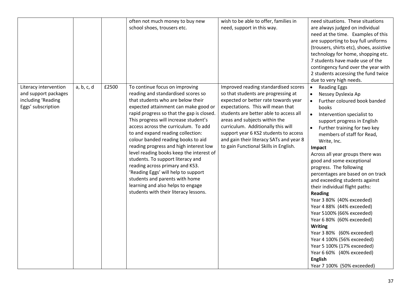|                       |            |       | often not much money to buy new           | wish to be able to offer, families in   | need situations. These situations        |
|-----------------------|------------|-------|-------------------------------------------|-----------------------------------------|------------------------------------------|
|                       |            |       | school shoes, trousers etc.               | need, support in this way.              | are always judged on individual          |
|                       |            |       |                                           |                                         | need at the time. Examples of this       |
|                       |            |       |                                           |                                         | are supporting to buy full uniforms      |
|                       |            |       |                                           |                                         | (trousers, shirts etc), shoes, assistive |
|                       |            |       |                                           |                                         | technology for home, shopping etc.       |
|                       |            |       |                                           |                                         | 7 students have made use of the          |
|                       |            |       |                                           |                                         | contingency fund over the year with      |
|                       |            |       |                                           |                                         | 2 students accessing the fund twice      |
|                       |            |       |                                           |                                         | due to very high needs.                  |
| Literacy intervention | a, b, c, d | £2500 | To continue focus on improving            | Improved reading standardised scores    | <b>Reading Eggs</b><br>$\bullet$         |
| and support packages  |            |       | reading and standardised scores so        | so that students are progressing at     | Nessey Dyslexia Ap<br>$\bullet$          |
| including 'Reading    |            |       | that students who are below their         | expected or better rate towards year    | Further coloured book banded             |
| Eggs' subscription    |            |       | expected attainment can make good or      | expectations. This will mean that       | <b>books</b>                             |
|                       |            |       | rapid progress so that the gap is closed. | students are better able to access all  | Intervention specialist to<br>$\bullet$  |
|                       |            |       | This progress will increase student's     | areas and subjects within the           | support progress in English              |
|                       |            |       | access across the curriculum. To add      | curriculum. Additionally this will      | Further training for two key             |
|                       |            |       | to and expand reading collection:         | support year 6 KS2 students to access   | members of staff for Read,               |
|                       |            |       | colour banded reading books to aid        | and gain their literacy SATs and year 8 | Write, Inc.                              |
|                       |            |       | reading progress and high interest low    | to gain Functional Skills in English.   | Impact                                   |
|                       |            |       | level reading books keep the interest of  |                                         | Across all year groups there was         |
|                       |            |       | students. To support literacy and         |                                         | good and some exceptional                |
|                       |            |       | reading across primary and KS3.           |                                         | progress. The following                  |
|                       |            |       | 'Reading Eggs' will help to support       |                                         | percentages are based on on track        |
|                       |            |       | students and parents with home            |                                         | and exceeding students against           |
|                       |            |       | learning and also helps to engage         |                                         | their individual flight paths:           |
|                       |            |       | students with their literacy lessons.     |                                         | <b>Reading</b>                           |
|                       |            |       |                                           |                                         | Year 3 80% (40% exceeded)                |
|                       |            |       |                                           |                                         | Year 4 88% (44% exceeded)                |
|                       |            |       |                                           |                                         | Year 5100% (66% exceeded)                |
|                       |            |       |                                           |                                         | Year 6 80% (60% exceeded)                |
|                       |            |       |                                           |                                         | <b>Writing</b>                           |
|                       |            |       |                                           |                                         | Year 3 80% (60% exceeded)                |
|                       |            |       |                                           |                                         | Year 4 100% (56% exceeded)               |
|                       |            |       |                                           |                                         | Year 5 100% (17% exceeded)               |
|                       |            |       |                                           |                                         | Year 6 60% (40% exceeded)                |
|                       |            |       |                                           |                                         | <b>English</b>                           |
|                       |            |       |                                           |                                         | Year 7 100% (50% exceeded)               |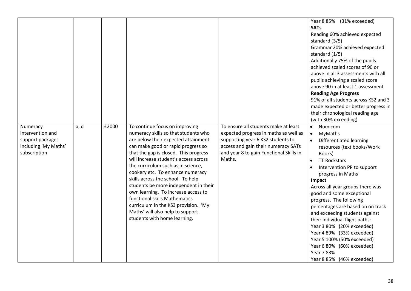| Numeracy                                                                     | a, d | £2000 | To continue focus on improving                                                                                                                                                                                                                                                                                                                                                                                                                                                                                                                  | To ensure all students make at least                                                                                                                                   | Year 8 85% (31% exceeded)<br><b>SATs</b><br>Reading 60% achieved expected<br>standard (3/5)<br>Grammar 20% achieved expected<br>standard (1/5)<br>Additionally 75% of the pupils<br>achieved scaled scores of 90 or<br>above in all 3 assessments with all<br>pupils achieving a scaled score<br>above 90 in at least 1 assessment<br><b>Reading Age Progress</b><br>91% of all students across KS2 and 3<br>made expected or better progress in<br>their chronological reading age<br>(with 30% exceeding)<br>$\bullet$<br>Numicom                                                     |
|------------------------------------------------------------------------------|------|-------|-------------------------------------------------------------------------------------------------------------------------------------------------------------------------------------------------------------------------------------------------------------------------------------------------------------------------------------------------------------------------------------------------------------------------------------------------------------------------------------------------------------------------------------------------|------------------------------------------------------------------------------------------------------------------------------------------------------------------------|-----------------------------------------------------------------------------------------------------------------------------------------------------------------------------------------------------------------------------------------------------------------------------------------------------------------------------------------------------------------------------------------------------------------------------------------------------------------------------------------------------------------------------------------------------------------------------------------|
| intervention and<br>support packages<br>including 'My Maths'<br>subscription |      |       | numeracy skills so that students who<br>are below their expected attainment<br>can make good or rapid progress so<br>that the gap is closed. This progress<br>will increase student's access across<br>the curriculum such as in science,<br>cookery etc. To enhance numeracy<br>skills across the school. To help<br>students be more independent in their<br>own learning. To increase access to<br>functional skills Mathematics<br>curriculum in the KS3 provision. 'My<br>Maths' will also help to support<br>students with home learning. | expected progress in maths as well as<br>supporting year 6 KS2 students to<br>access and gain their numeracy SATs<br>and year 8 to gain Functional Skills in<br>Maths. | $\bullet$<br>MyMaths<br>Differentiated learning<br>$\bullet$<br>resources (text books/Work<br>Books)<br><b>TT Rockstars</b><br>$\bullet$<br>Intervention PP to support<br>$\bullet$<br>progress in Maths<br>Impact<br>Across all year groups there was<br>good and some exceptional<br>progress. The following<br>percentages are based on on track<br>and exceeding students against<br>their individual flight paths:<br>Year 3 80% (20% exceeded)<br>Year 4 89% (33% exceeded)<br>Year 5 100% (50% exceeded)<br>Year 6 80% (60% exceeded)<br>Year 7 83%<br>Year 8 85% (46% exceeded) |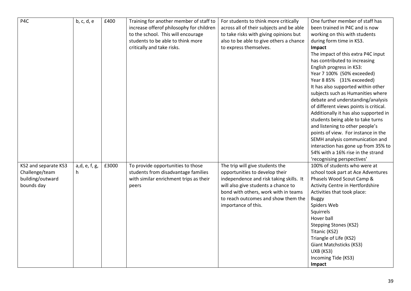| P4C                  | b, c, d, e    | £400  | Training for another member of staff to  | For students to think more critically    | One further member of staff has        |
|----------------------|---------------|-------|------------------------------------------|------------------------------------------|----------------------------------------|
|                      |               |       | increase offerof philosophy for children | across all of their subjects and be able | been trained in P4C and is now         |
|                      |               |       | to the school. This will encourage       | to take risks with giving opinions but   | working on this with students          |
|                      |               |       | students to be able to think more        | also to be able to give others a chance  | during form time in KS3.               |
|                      |               |       | critically and take risks.               | to express themselves.                   | Impact                                 |
|                      |               |       |                                          |                                          |                                        |
|                      |               |       |                                          |                                          | The impact of this extra P4C input     |
|                      |               |       |                                          |                                          | has contributed to increasing          |
|                      |               |       |                                          |                                          | English progress in KS3:               |
|                      |               |       |                                          |                                          | Year 7 100% (50% exceeded)             |
|                      |               |       |                                          |                                          | Year 8 85% (31% exceeded)              |
|                      |               |       |                                          |                                          | It has also supported within other     |
|                      |               |       |                                          |                                          | subjects such as Humanities where      |
|                      |               |       |                                          |                                          | debate and understanding/analysis      |
|                      |               |       |                                          |                                          | of different views points is critical. |
|                      |               |       |                                          |                                          | Additionally it has also supported in  |
|                      |               |       |                                          |                                          | students being able to take turns      |
|                      |               |       |                                          |                                          | and listening to other people's        |
|                      |               |       |                                          |                                          | points of view. For instance in the    |
|                      |               |       |                                          |                                          | SEMH analysis communication and        |
|                      |               |       |                                          |                                          | interaction has gone up from 35% to    |
|                      |               |       |                                          |                                          | 54% with a 16% rise in the strand      |
|                      |               |       |                                          |                                          | 'recognising perspectives'             |
| KS2 and separate KS3 | a,d, e, f, g, | £3000 | To provide opportunities to those        | The trip will give students the          | 100% of students who were at           |
| Challenge/team       | h.            |       | students from disadvantage families      | opportunities to develop their           | school took part at Ace Adventures     |
| building/outward     |               |       | with similar enrichment trips as their   | independence and risk taking skills. It  | Phasels Wood Scout Camp &              |
| bounds day           |               |       | peers                                    | will also give students a chance to      | Activity Centre in Hertfordshire       |
|                      |               |       |                                          | bond with others, work with in teams     | Activities that took place:            |
|                      |               |       |                                          | to reach outcomes and show them the      | <b>Buggy</b>                           |
|                      |               |       |                                          | importance of this.                      | Spiders Web                            |
|                      |               |       |                                          |                                          | Squirrels                              |
|                      |               |       |                                          |                                          | Hover ball                             |
|                      |               |       |                                          |                                          | <b>Stepping Stones (KS2)</b>           |
|                      |               |       |                                          |                                          | Titanic (KS2)                          |
|                      |               |       |                                          |                                          | Triangle of Life (KS2)                 |
|                      |               |       |                                          |                                          | Giant Matchsticks (KS3)                |
|                      |               |       |                                          |                                          | UXB (KS3)                              |
|                      |               |       |                                          |                                          | Incoming Tide (KS3)                    |
|                      |               |       |                                          |                                          | Impact                                 |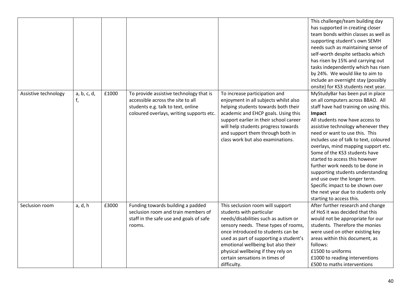|                      |                   |       |                                                                                                                                                                |                                                                                                                                                                                                                                                                                                                                                           | This challenge/team building day<br>has supported in creating closer<br>team bonds within classes as well as<br>supporting student's own SEMH<br>needs such as maintaining sense of<br>self-worth despite setbacks which<br>has risen by 15% and carrying out<br>tasks independently which has risen<br>by 24%. We would like to aim to<br>include an overnight stay (possibly<br>onsite) for KS3 students next year.                                                                                                                                                                                    |
|----------------------|-------------------|-------|----------------------------------------------------------------------------------------------------------------------------------------------------------------|-----------------------------------------------------------------------------------------------------------------------------------------------------------------------------------------------------------------------------------------------------------------------------------------------------------------------------------------------------------|----------------------------------------------------------------------------------------------------------------------------------------------------------------------------------------------------------------------------------------------------------------------------------------------------------------------------------------------------------------------------------------------------------------------------------------------------------------------------------------------------------------------------------------------------------------------------------------------------------|
| Assistive technology | a, b, c, d,<br>f, | £1000 | To provide assistive technology that is<br>accessible across the site to all<br>students e.g. talk to text, online<br>coloured overlays, writing supports etc. | To increase participation and<br>enjoyment in all subjects whilst also<br>helping students towards both their<br>academic and EHCP goals. Using this<br>support earlier in their school career<br>will help students progress towards<br>and support them through both in<br>class work but also examinations.                                            | MyStudyBar has been put in place<br>on all computers across BBAO. All<br>staff have had training on using this.<br>Impact<br>All students now have access to<br>assistive technology whenever they<br>need or want to use this. This<br>includes use of talk to text, coloured<br>overlays, mind mapping support etc.<br>Some of the KS3 students have<br>started to access this however<br>further work needs to be done in<br>supporting students understanding<br>and use over the longer term.<br>Specific impact to be shown over<br>the next year due to students only<br>starting to access this. |
| Seclusion room       | a, d, h           | £3000 | Funding towards building a padded<br>seclusion room and train members of<br>staff in the safe use and goals of safe<br>rooms.                                  | This seclusion room will support<br>students with particular<br>needs/disabilities such as autism or<br>sensory needs. These types of rooms,<br>once introduced to students can be<br>used as part of supporting a student's<br>emotional wellbeing but also their<br>physical wellbeing if they rely on<br>certain sensations in times of<br>difficulty. | After further research and change<br>of HoS it was decided that this<br>would not be appropriate for our<br>students. Therefore the monies<br>were used on other existing key<br>areas within this document, as<br>follows:<br>£1500 to uniforms<br>£1000 to reading interventions<br>£500 to maths interventions                                                                                                                                                                                                                                                                                        |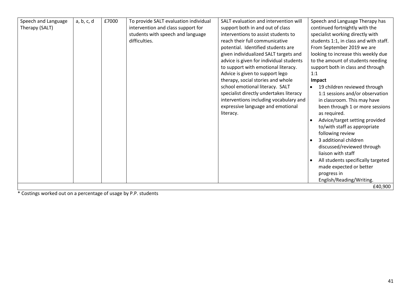| Speech and Language | a, b, c, d | £7000 | To provide SALT evaluation individual | SALT evaluation and intervention will   | Speech and Language Therapy has           |
|---------------------|------------|-------|---------------------------------------|-----------------------------------------|-------------------------------------------|
| Therapy (SALT)      |            |       | intervention and class support for    | support both in and out of class        | continued fortnightly with the            |
|                     |            |       | students with speech and language     | interventions to assist students to     | specialist working directly with          |
|                     |            |       | difficulties.                         | reach their full communicative          | students 1:1, in class and with staff.    |
|                     |            |       |                                       | potential. Identified students are      | From September 2019 we are                |
|                     |            |       |                                       | given individualized SALT targets and   | looking to increase this weekly due       |
|                     |            |       |                                       | advice is given for individual students | to the amount of students needing         |
|                     |            |       |                                       | to support with emotional literacy.     | support both in class and through         |
|                     |            |       |                                       | Advice is given to support lego         | 1:1                                       |
|                     |            |       |                                       | therapy, social stories and whole       | Impact                                    |
|                     |            |       |                                       | school emotional literacy. SALT         | 19 children reviewed through<br>$\bullet$ |
|                     |            |       |                                       | specialist directly undertakes literacy | 1:1 sessions and/or observation           |
|                     |            |       |                                       | interventions including vocabulary and  | in classroom. This may have               |
|                     |            |       |                                       | expressive language and emotional       | been through 1 or more sessions           |
|                     |            |       |                                       | literacy.                               | as required.                              |
|                     |            |       |                                       |                                         | Advice/target setting provided            |
|                     |            |       |                                       |                                         | to/with staff as appropriate              |
|                     |            |       |                                       |                                         | following review                          |
|                     |            |       |                                       |                                         | 3 additional children<br>$\bullet$        |
|                     |            |       |                                       |                                         | discussed/reviewed through                |
|                     |            |       |                                       |                                         | liaison with staff                        |
|                     |            |       |                                       |                                         | All students specifically targeted        |
|                     |            |       |                                       |                                         | made expected or better                   |
|                     |            |       |                                       |                                         | progress in                               |
|                     |            |       |                                       |                                         | English/Reading/Writing.                  |
|                     |            |       |                                       |                                         | £40,900                                   |
|                     |            |       |                                       |                                         |                                           |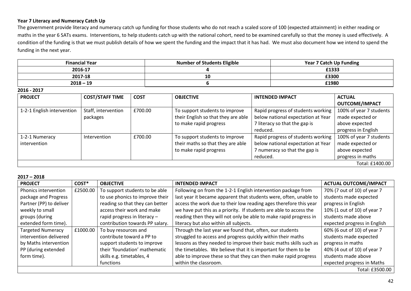## **Year 7 Literacy and Numeracy Catch Up**

The government provide literacy and numeracy catch up funding for those students who do not reach a scaled score of 100 (expected attainment) in either reading or maths in the year 6 SATs exams. Interventions, to help students catch up with the national cohort, need to be examined carefully so that the money is used effectively. A condition of the funding is that we must publish details of how we spent the funding and the impact that it has had. We must also document how we intend to spend the funding in the next year.

| <b>Financial Year</b> | <b>Number of Students Eligible</b> | <b>Year 7 Catch Up Funding</b> |
|-----------------------|------------------------------------|--------------------------------|
| 2016-17               |                                    | £1333                          |
| 2017-18               | 10                                 | £3300                          |
| $2018 - 19$           |                                    | £1980                          |

**2016 - 2017**

| <b>PROJECT</b>             | <b>COST/STAFF TIME</b> | <b>COST</b> | <b>OBJECTIVE</b>                    | <b>INTENDED IMPACT</b>             | <b>ACTUAL</b>           |  |
|----------------------------|------------------------|-------------|-------------------------------------|------------------------------------|-------------------------|--|
|                            |                        |             |                                     |                                    | <b>OUTCOME/IMPACT</b>   |  |
| 1-2-1 English intervention | Staff, intervention    | £700.00     | To support students to improve      | Rapid progress of students working | 100% of year 7 students |  |
|                            | packages               |             | their English so that they are able | below national expectation at Year | made expected or        |  |
|                            |                        |             | to make rapid progress              | 7 literacy so that the gap is      | above expected          |  |
|                            |                        |             |                                     | reduced.                           | progress in English     |  |
| 1-2-1 Numeracy             | Intervention           | £700.00     | To support students to improve      | Rapid progress of students working | 100% of year 7 students |  |
| intervention               |                        |             | their maths so that they are able   | below national expectation at Year | made expected or        |  |
|                            |                        |             | to make rapid progress              | 7 numeracy so that the gap is      | above expected          |  |
|                            |                        |             |                                     | reduced.                           | progress in maths       |  |
| Total: £1400.00            |                        |             |                                     |                                    |                         |  |

**2017 – 2018**

| $\angle$ ui/ – $\angle$ uio |          |                                 |                                                                    |                              |
|-----------------------------|----------|---------------------------------|--------------------------------------------------------------------|------------------------------|
| <b>PROJECT</b>              | COST*    | <b>OBJECTIVE</b>                | <b>INTENDED IMPACT</b>                                             | <b>ACTUAL OUTCOME/IMPACT</b> |
| Phonics intervention        | £2500.00 | To support students to be able  | Following on from the 1-2-1 English intervention package from      | 70% (7 out of 10) of year 7  |
| package and Progress        |          | to use phonics to improve their | last year it became apparent that students were, often, unable to  | students made expected       |
| Partner (PP) to deliver     |          | reading so that they can better | access the work due to their low reading ages therefore this year  | progress in English          |
| weekly to small             |          | access their work and make      | we have put this as a priority. If students are able to access the | 10% (1 out of 10) of year 7  |
| groups (during              |          | rapid progress in literacy -    | reading then they will not only be able to make rapid progress in  | students made above          |
| extended form time).        |          | contribution towards PP salary. | literacy but also within all subjects.                             | expected progress in English |
| <b>Targeted Numeracy</b>    | £1000.00 | To buy resources and            | Through the last year we found that, often, our students           | 60% (6 out of 10) of year 7  |
| intervention delivered      |          | contribute toward a PP to       | struggled to access and progress quickly within their maths        | students made expected       |
| by Maths intervention       |          | support students to improve     | lessons as they needed to improve their basic maths skills such as | progress in maths            |
| PP (during extended         |          | their 'foundation' mathematic   | the timetables. We believe that it is important for them to be     | 40% (4 out of 10) of year 7  |
| form time).                 |          | skills e.g. timetables, 4       | able to improve these so that they can then make rapid progress    | students made above          |
|                             |          | functions                       | within the classroom.                                              | expected progress in Maths   |
|                             |          |                                 |                                                                    | Total: £3500.00              |